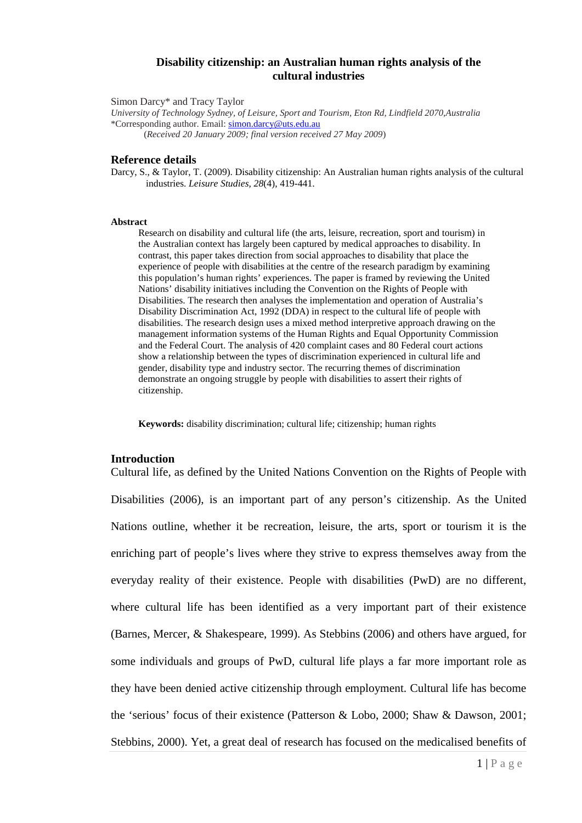## **Disability citizenship: an Australian human rights analysis of the cultural industries**

Simon Darcy\* and Tracy Taylor

*University of Technology Sydney, of Leisure, Sport and Tourism, Eton Rd, Lindfield 2070,Australia* \*Corresponding author. Email[: simon.darcy@uts.edu.au](mailto:simon.darcy@uts.edu.au)

(*Received 20 January 2009; final version received 27 May 2009*)

## **Reference details**

Darcy, S., & Taylor, T. (2009). Disability citizenship: An Australian human rights analysis of the cultural industries. *Leisure Studies, 28*(4), 419-441.

### **Abstract**

Research on disability and cultural life (the arts, leisure, recreation, sport and tourism) in the Australian context has largely been captured by medical approaches to disability. In contrast, this paper takes direction from social approaches to disability that place the experience of people with disabilities at the centre of the research paradigm by examining this population's human rights' experiences. The paper is framed by reviewing the United Nations' disability initiatives including the Convention on the Rights of People with Disabilities. The research then analyses the implementation and operation of Australia's Disability Discrimination Act, 1992 (DDA) in respect to the cultural life of people with disabilities. The research design uses a mixed method interpretive approach drawing on the management information systems of the Human Rights and Equal Opportunity Commission and the Federal Court. The analysis of 420 complaint cases and 80 Federal court actions show a relationship between the types of discrimination experienced in cultural life and gender, disability type and industry sector. The recurring themes of discrimination demonstrate an ongoing struggle by people with disabilities to assert their rights of citizenship.

**Keywords:** disability discrimination; cultural life; citizenship; human rights

### **Introduction**

Cultural life, as defined by the United Nations Convention on the Rights of People with Disabilities (2006), is an important part of any person's citizenship. As the United Nations outline, whether it be recreation, leisure, the arts, sport or tourism it is the enriching part of people's lives where they strive to express themselves away from the everyday reality of their existence. People with disabilities (PwD) are no different, where cultural life has been identified as a very important part of their existence (Barnes, Mercer, & Shakespeare, 1999). As Stebbins (2006) and others have argued, for some individuals and groups of PwD, cultural life plays a far more important role as they have been denied active citizenship through employment. Cultural life has become the 'serious' focus of their existence (Patterson & Lobo, 2000; Shaw & Dawson, 2001; Stebbins, 2000). Yet, a great deal of research has focused on the medicalised benefits of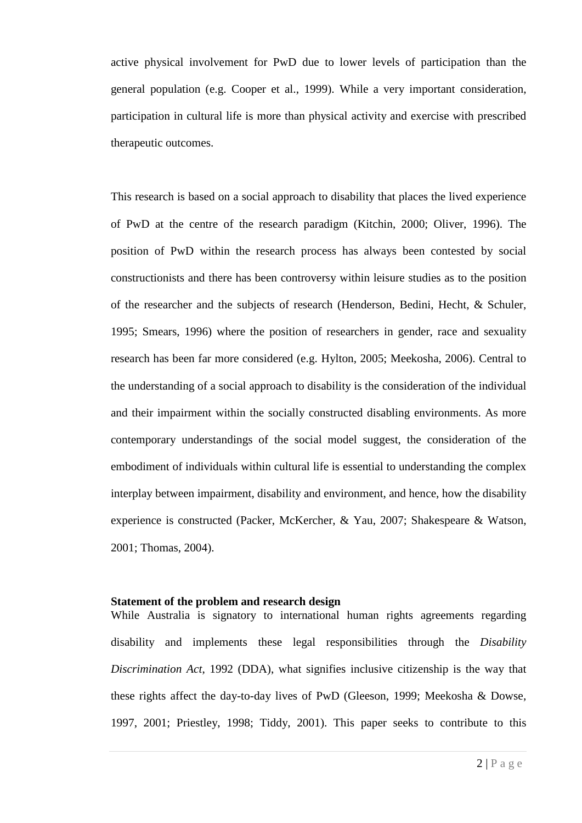active physical involvement for PwD due to lower levels of participation than the general population (e.g. Cooper et al., 1999). While a very important consideration, participation in cultural life is more than physical activity and exercise with prescribed therapeutic outcomes.

This research is based on a social approach to disability that places the lived experience of PwD at the centre of the research paradigm (Kitchin, 2000; Oliver, 1996). The position of PwD within the research process has always been contested by social constructionists and there has been controversy within leisure studies as to the position of the researcher and the subjects of research (Henderson, Bedini, Hecht, & Schuler, 1995; Smears, 1996) where the position of researchers in gender, race and sexuality research has been far more considered (e.g. Hylton, 2005; Meekosha, 2006). Central to the understanding of a social approach to disability is the consideration of the individual and their impairment within the socially constructed disabling environments. As more contemporary understandings of the social model suggest, the consideration of the embodiment of individuals within cultural life is essential to understanding the complex interplay between impairment, disability and environment, and hence, how the disability experience is constructed (Packer, McKercher, & Yau, 2007; Shakespeare & Watson, 2001; Thomas, 2004).

## **Statement of the problem and research design**

While Australia is signatory to international human rights agreements regarding disability and implements these legal responsibilities through the *Disability Discrimination Act*, 1992 (DDA), what signifies inclusive citizenship is the way that these rights affect the day-to-day lives of PwD (Gleeson, 1999; Meekosha & Dowse, 1997, 2001; Priestley, 1998; Tiddy, 2001). This paper seeks to contribute to this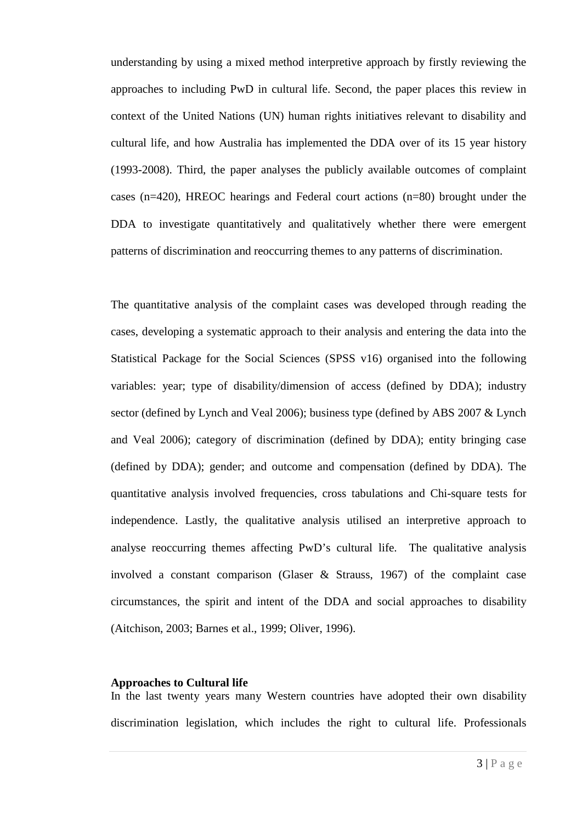understanding by using a mixed method interpretive approach by firstly reviewing the approaches to including PwD in cultural life. Second, the paper places this review in context of the United Nations (UN) human rights initiatives relevant to disability and cultural life, and how Australia has implemented the DDA over of its 15 year history (1993-2008). Third, the paper analyses the publicly available outcomes of complaint cases (n=420), HREOC hearings and Federal court actions (n=80) brought under the DDA to investigate quantitatively and qualitatively whether there were emergent patterns of discrimination and reoccurring themes to any patterns of discrimination.

The quantitative analysis of the complaint cases was developed through reading the cases, developing a systematic approach to their analysis and entering the data into the Statistical Package for the Social Sciences (SPSS v16) organised into the following variables: year; type of disability/dimension of access (defined by DDA); industry sector (defined by Lynch and Veal 2006); business type (defined by ABS 2007 & Lynch and Veal 2006); category of discrimination (defined by DDA); entity bringing case (defined by DDA); gender; and outcome and compensation (defined by DDA). The quantitative analysis involved frequencies, cross tabulations and Chi-square tests for independence. Lastly, the qualitative analysis utilised an interpretive approach to analyse reoccurring themes affecting PwD's cultural life. The qualitative analysis involved a constant comparison (Glaser & Strauss, 1967) of the complaint case circumstances, the spirit and intent of the DDA and social approaches to disability (Aitchison, 2003; Barnes et al., 1999; Oliver, 1996).

## **Approaches to Cultural life**

In the last twenty years many Western countries have adopted their own disability discrimination legislation, which includes the right to cultural life. Professionals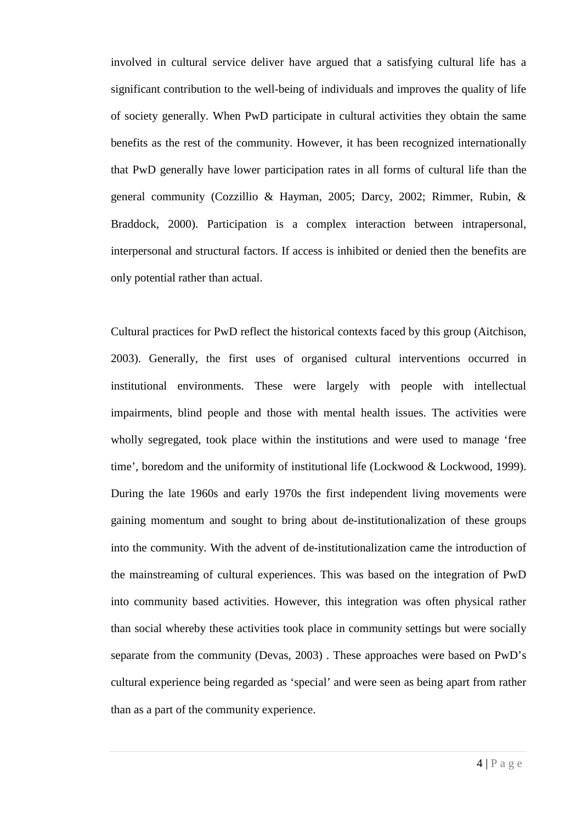involved in cultural service deliver have argued that a satisfying cultural life has a significant contribution to the well-being of individuals and improves the quality of life of society generally. When PwD participate in cultural activities they obtain the same benefits as the rest of the community. However, it has been recognized internationally that PwD generally have lower participation rates in all forms of cultural life than the general community (Cozzillio & Hayman, 2005; Darcy, 2002; Rimmer, Rubin, & Braddock, 2000). Participation is a complex interaction between intrapersonal, interpersonal and structural factors. If access is inhibited or denied then the benefits are only potential rather than actual.

Cultural practices for PwD reflect the historical contexts faced by this group (Aitchison, 2003). Generally, the first uses of organised cultural interventions occurred in institutional environments. These were largely with people with intellectual impairments, blind people and those with mental health issues. The activities were wholly segregated, took place within the institutions and were used to manage 'free time', boredom and the uniformity of institutional life (Lockwood & Lockwood, 1999). During the late 1960s and early 1970s the first independent living movements were gaining momentum and sought to bring about de-institutionalization of these groups into the community. With the advent of de-institutionalization came the introduction of the mainstreaming of cultural experiences. This was based on the integration of PwD into community based activities. However, this integration was often physical rather than social whereby these activities took place in community settings but were socially separate from the community (Devas, 2003) . These approaches were based on PwD's cultural experience being regarded as 'special' and were seen as being apart from rather than as a part of the community experience.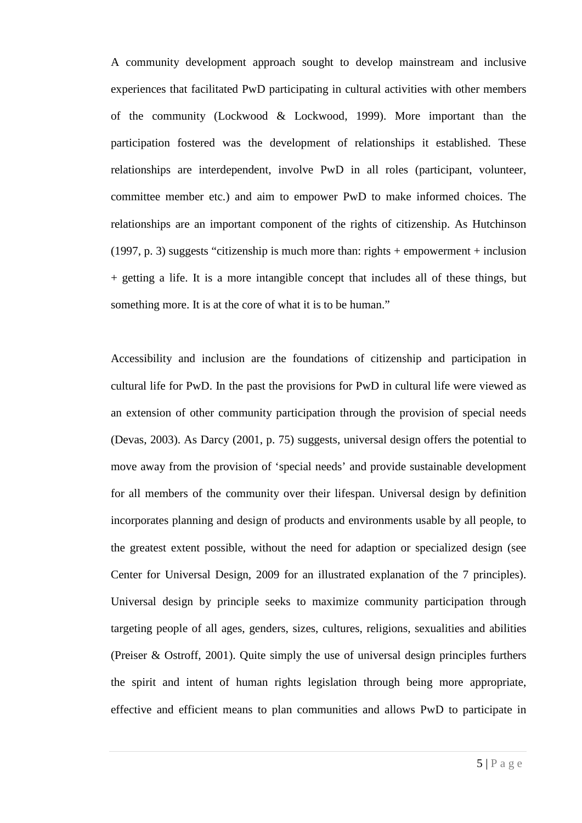A community development approach sought to develop mainstream and inclusive experiences that facilitated PwD participating in cultural activities with other members of the community (Lockwood & Lockwood, 1999). More important than the participation fostered was the development of relationships it established. These relationships are interdependent, involve PwD in all roles (participant, volunteer, committee member etc.) and aim to empower PwD to make informed choices. The relationships are an important component of the rights of citizenship. As Hutchinson (1997, p. 3) suggests "citizenship is much more than: rights + empowerment + inclusion + getting a life. It is a more intangible concept that includes all of these things, but something more. It is at the core of what it is to be human."

Accessibility and inclusion are the foundations of citizenship and participation in cultural life for PwD. In the past the provisions for PwD in cultural life were viewed as an extension of other community participation through the provision of special needs (Devas, 2003). As Darcy (2001, p. 75) suggests, universal design offers the potential to move away from the provision of 'special needs' and provide sustainable development for all members of the community over their lifespan. Universal design by definition incorporates planning and design of products and environments usable by all people, to the greatest extent possible, without the need for adaption or specialized design (see Center for Universal Design, 2009 for an illustrated explanation of the 7 principles). Universal design by principle seeks to maximize community participation through targeting people of all ages, genders, sizes, cultures, religions, sexualities and abilities (Preiser & Ostroff, 2001). Quite simply the use of universal design principles furthers the spirit and intent of human rights legislation through being more appropriate, effective and efficient means to plan communities and allows PwD to participate in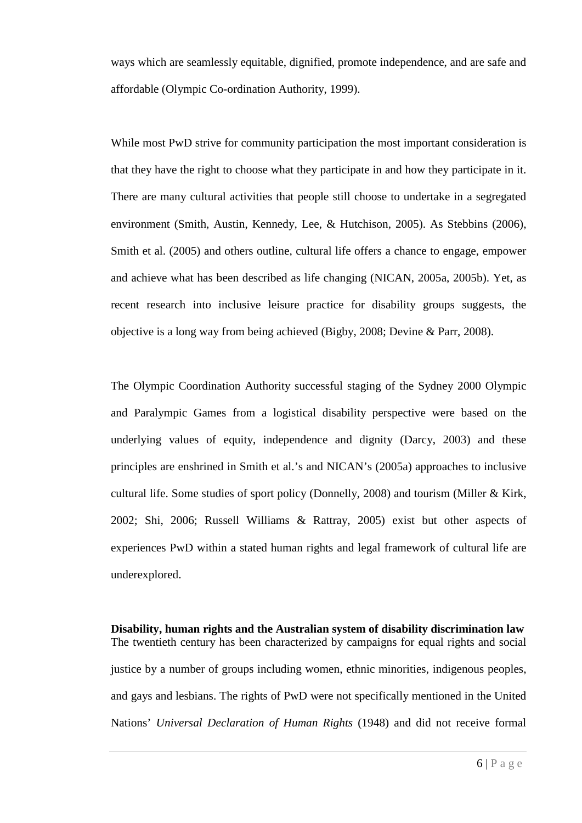ways which are seamlessly equitable, dignified, promote independence, and are safe and affordable (Olympic Co-ordination Authority, 1999).

While most PwD strive for community participation the most important consideration is that they have the right to choose what they participate in and how they participate in it. There are many cultural activities that people still choose to undertake in a segregated environment (Smith, Austin, Kennedy, Lee, & Hutchison, 2005). As Stebbins (2006), Smith et al. (2005) and others outline, cultural life offers a chance to engage, empower and achieve what has been described as life changing (NICAN, 2005a, 2005b). Yet, as recent research into inclusive leisure practice for disability groups suggests, the objective is a long way from being achieved (Bigby, 2008; Devine & Parr, 2008).

The Olympic Coordination Authority successful staging of the Sydney 2000 Olympic and Paralympic Games from a logistical disability perspective were based on the underlying values of equity, independence and dignity (Darcy, 2003) and these principles are enshrined in Smith et al.'s and NICAN's (2005a) approaches to inclusive cultural life. Some studies of sport policy (Donnelly, 2008) and tourism (Miller & Kirk, 2002; Shi, 2006; Russell Williams & Rattray, 2005) exist but other aspects of experiences PwD within a stated human rights and legal framework of cultural life are underexplored.

**Disability, human rights and the Australian system of disability discrimination law** The twentieth century has been characterized by campaigns for equal rights and social justice by a number of groups including women, ethnic minorities, indigenous peoples, and gays and lesbians. The rights of PwD were not specifically mentioned in the United Nations' *Universal Declaration of Human Rights* (1948) and did not receive formal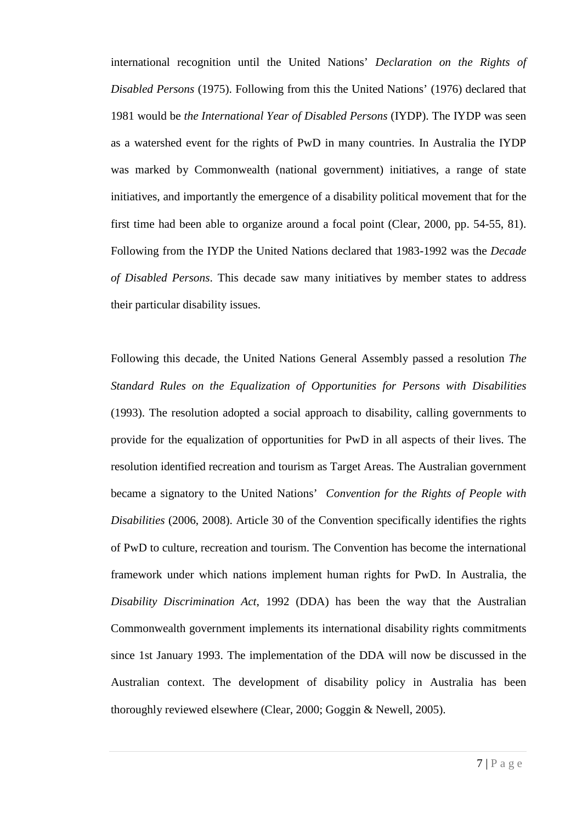international recognition until the United Nations' *Declaration on the Rights of Disabled Persons* (1975). Following from this the United Nations' (1976) declared that 1981 would be *the International Year of Disabled Persons* (IYDP). The IYDP was seen as a watershed event for the rights of PwD in many countries. In Australia the IYDP was marked by Commonwealth (national government) initiatives, a range of state initiatives, and importantly the emergence of a disability political movement that for the first time had been able to organize around a focal point (Clear, 2000, pp. 54-55, 81). Following from the IYDP the United Nations declared that 1983-1992 was the *Decade of Disabled Persons*. This decade saw many initiatives by member states to address their particular disability issues.

Following this decade, the United Nations General Assembly passed a resolution *The Standard Rules on the Equalization of Opportunities for Persons with Disabilities*  (1993). The resolution adopted a social approach to disability, calling governments to provide for the equalization of opportunities for PwD in all aspects of their lives. The resolution identified recreation and tourism as Target Areas. The Australian government became a signatory to the United Nations' *Convention for the Rights of People with Disabilities* (2006, 2008). Article 30 of the Convention specifically identifies the rights of PwD to culture, recreation and tourism. The Convention has become the international framework under which nations implement human rights for PwD. In Australia, the *Disability Discrimination Act*, 1992 (DDA) has been the way that the Australian Commonwealth government implements its international disability rights commitments since 1st January 1993. The implementation of the DDA will now be discussed in the Australian context. The development of disability policy in Australia has been thoroughly reviewed elsewhere (Clear, 2000; Goggin & Newell, 2005).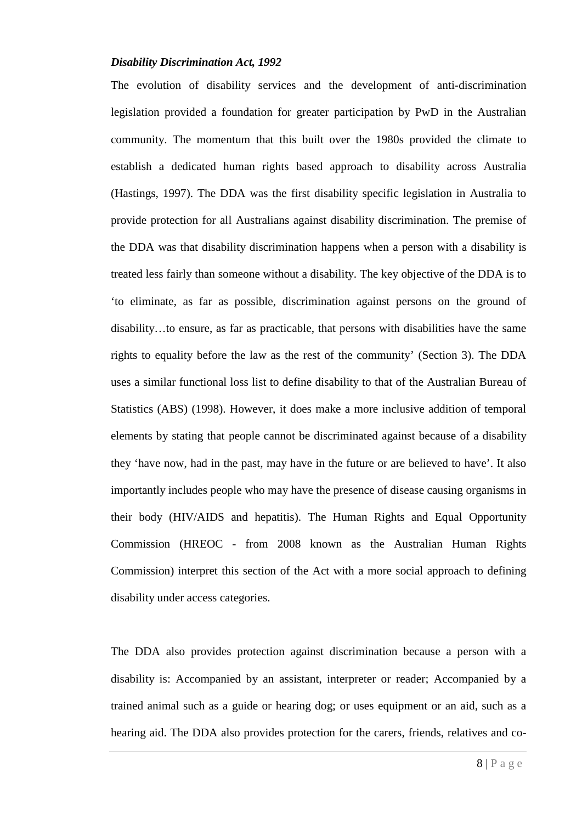## *Disability Discrimination Act, 1992*

The evolution of disability services and the development of anti-discrimination legislation provided a foundation for greater participation by PwD in the Australian community. The momentum that this built over the 1980s provided the climate to establish a dedicated human rights based approach to disability across Australia (Hastings, 1997). The DDA was the first disability specific legislation in Australia to provide protection for all Australians against disability discrimination. The premise of the DDA was that disability discrimination happens when a person with a disability is treated less fairly than someone without a disability. The key objective of the DDA is to 'to eliminate, as far as possible, discrimination against persons on the ground of disability…to ensure, as far as practicable, that persons with disabilities have the same rights to equality before the law as the rest of the community' (Section 3). The DDA uses a similar functional loss list to define disability to that of the Australian Bureau of Statistics (ABS) (1998). However, it does make a more inclusive addition of temporal elements by stating that people cannot be discriminated against because of a disability they 'have now, had in the past, may have in the future or are believed to have'. It also importantly includes people who may have the presence of disease causing organisms in their body (HIV/AIDS and hepatitis). The Human Rights and Equal Opportunity Commission (HREOC - from 2008 known as the Australian Human Rights Commission) interpret this section of the Act with a more social approach to defining disability under access categories.

The DDA also provides protection against discrimination because a person with a disability is: Accompanied by an assistant, interpreter or reader; Accompanied by a trained animal such as a guide or hearing dog; or uses equipment or an aid, such as a hearing aid. The DDA also provides protection for the carers, friends, relatives and co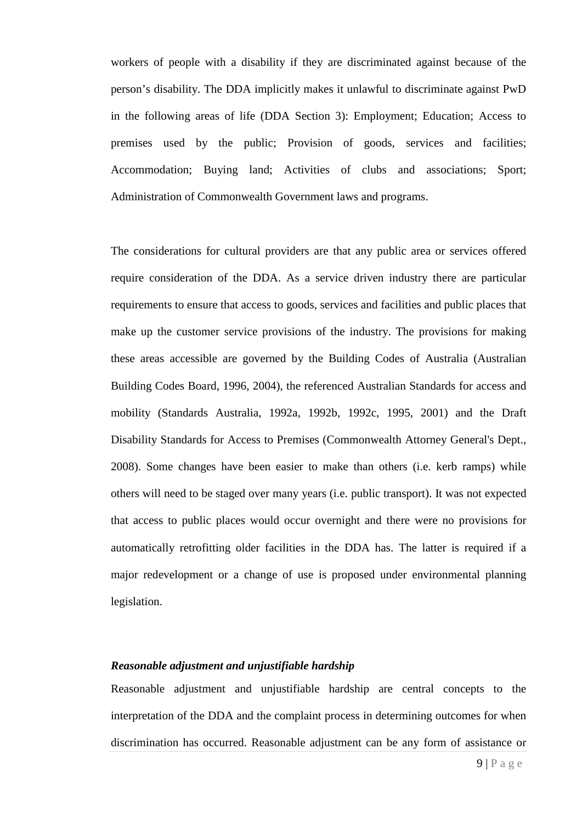workers of people with a disability if they are discriminated against because of the person's disability. The DDA implicitly makes it unlawful to discriminate against PwD in the following areas of life (DDA Section 3): Employment; Education; Access to premises used by the public; Provision of goods, services and facilities; Accommodation; Buying land; Activities of clubs and associations; Sport; Administration of Commonwealth Government laws and programs.

The considerations for cultural providers are that any public area or services offered require consideration of the DDA. As a service driven industry there are particular requirements to ensure that access to goods, services and facilities and public places that make up the customer service provisions of the industry. The provisions for making these areas accessible are governed by the Building Codes of Australia (Australian Building Codes Board, 1996, 2004), the referenced Australian Standards for access and mobility (Standards Australia, 1992a, 1992b, 1992c, 1995, 2001) and the Draft Disability Standards for Access to Premises (Commonwealth Attorney General's Dept., 2008). Some changes have been easier to make than others (i.e. kerb ramps) while others will need to be staged over many years (i.e. public transport). It was not expected that access to public places would occur overnight and there were no provisions for automatically retrofitting older facilities in the DDA has. The latter is required if a major redevelopment or a change of use is proposed under environmental planning legislation.

# *Reasonable adjustment and unjustifiable hardship*

Reasonable adjustment and unjustifiable hardship are central concepts to the interpretation of the DDA and the complaint process in determining outcomes for when discrimination has occurred. Reasonable adjustment can be any form of assistance or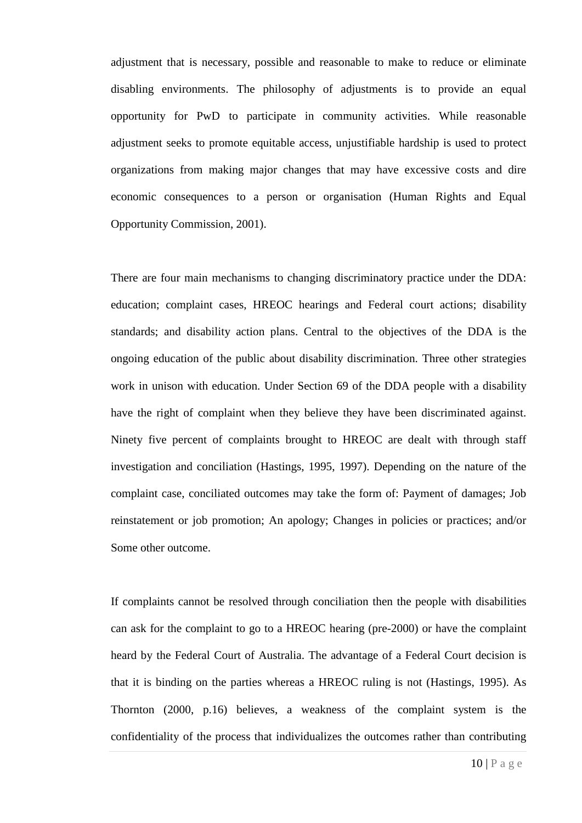adjustment that is necessary, possible and reasonable to make to reduce or eliminate disabling environments. The philosophy of adjustments is to provide an equal opportunity for PwD to participate in community activities. While reasonable adjustment seeks to promote equitable access, unjustifiable hardship is used to protect organizations from making major changes that may have excessive costs and dire economic consequences to a person or organisation (Human Rights and Equal Opportunity Commission, 2001).

There are four main mechanisms to changing discriminatory practice under the DDA: education; complaint cases, HREOC hearings and Federal court actions; disability standards; and disability action plans. Central to the objectives of the DDA is the ongoing education of the public about disability discrimination. Three other strategies work in unison with education. Under Section 69 of the DDA people with a disability have the right of complaint when they believe they have been discriminated against. Ninety five percent of complaints brought to HREOC are dealt with through staff investigation and conciliation (Hastings, 1995, 1997). Depending on the nature of the complaint case, conciliated outcomes may take the form of: Payment of damages; Job reinstatement or job promotion; An apology; Changes in policies or practices; and/or Some other outcome.

If complaints cannot be resolved through conciliation then the people with disabilities can ask for the complaint to go to a HREOC hearing (pre-2000) or have the complaint heard by the Federal Court of Australia. The advantage of a Federal Court decision is that it is binding on the parties whereas a HREOC ruling is not (Hastings, 1995). As Thornton (2000, p.16) believes, a weakness of the complaint system is the confidentiality of the process that individualizes the outcomes rather than contributing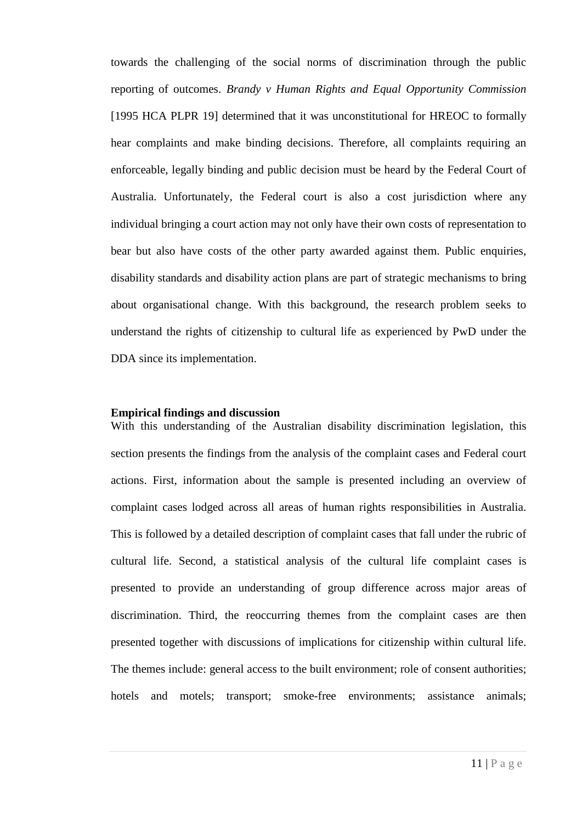towards the challenging of the social norms of discrimination through the public reporting of outcomes. *Brandy v Human Rights and Equal Opportunity Commission*  [1995 HCA PLPR 19] determined that it was unconstitutional for HREOC to formally hear complaints and make binding decisions. Therefore, all complaints requiring an enforceable, legally binding and public decision must be heard by the Federal Court of Australia. Unfortunately, the Federal court is also a cost jurisdiction where any individual bringing a court action may not only have their own costs of representation to bear but also have costs of the other party awarded against them. Public enquiries, disability standards and disability action plans are part of strategic mechanisms to bring about organisational change. With this background, the research problem seeks to understand the rights of citizenship to cultural life as experienced by PwD under the DDA since its implementation.

## **Empirical findings and discussion**

With this understanding of the Australian disability discrimination legislation, this section presents the findings from the analysis of the complaint cases and Federal court actions. First, information about the sample is presented including an overview of complaint cases lodged across all areas of human rights responsibilities in Australia. This is followed by a detailed description of complaint cases that fall under the rubric of cultural life. Second, a statistical analysis of the cultural life complaint cases is presented to provide an understanding of group difference across major areas of discrimination. Third, the reoccurring themes from the complaint cases are then presented together with discussions of implications for citizenship within cultural life. The themes include: general access to the built environment; role of consent authorities; hotels and motels; transport; smoke-free environments; assistance animals;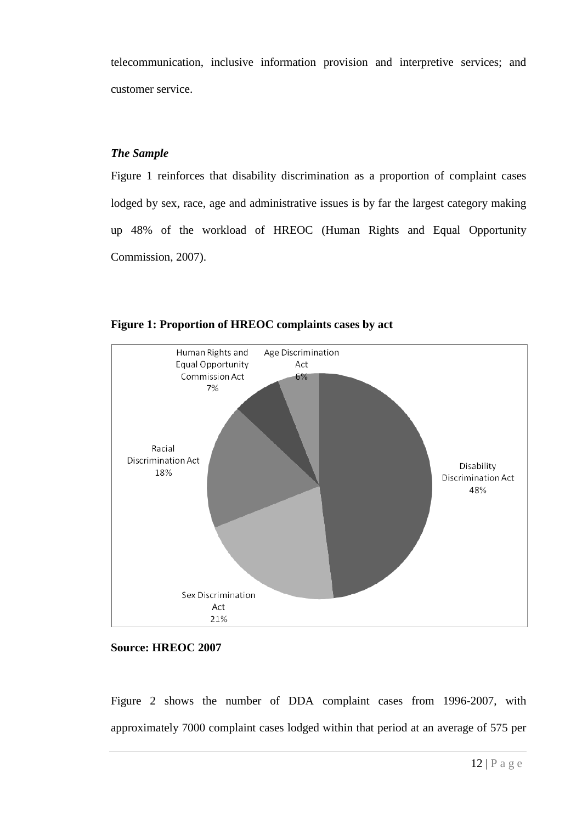telecommunication, inclusive information provision and interpretive services; and customer service.

## *The Sample*

Figure 1 reinforces that disability discrimination as a proportion of complaint cases lodged by sex, race, age and administrative issues is by far the largest category making up 48% of the workload of HREOC (Human Rights and Equal Opportunity Commission, 2007).



**Figure 1: Proportion of HREOC complaints cases by act**

## **Source: HREOC 2007**

Figure 2 shows the number of DDA complaint cases from 1996-2007, with approximately 7000 complaint cases lodged within that period at an average of 575 per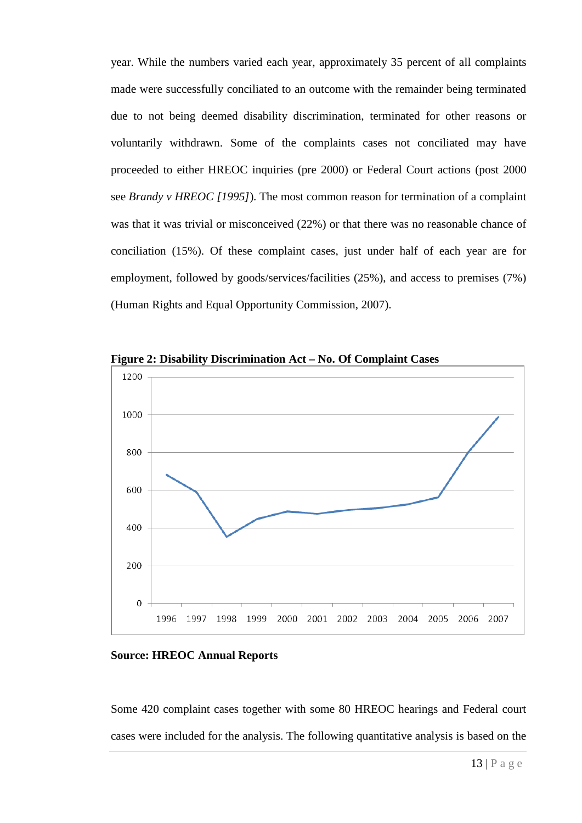year. While the numbers varied each year, approximately 35 percent of all complaints made were successfully conciliated to an outcome with the remainder being terminated due to not being deemed disability discrimination, terminated for other reasons or voluntarily withdrawn. Some of the complaints cases not conciliated may have proceeded to either HREOC inquiries (pre 2000) or Federal Court actions (post 2000 see *Brandy v HREOC [1995]*). The most common reason for termination of a complaint was that it was trivial or misconceived (22%) or that there was no reasonable chance of conciliation (15%). Of these complaint cases, just under half of each year are for employment, followed by goods/services/facilities (25%), and access to premises (7%) (Human Rights and Equal Opportunity Commission, 2007).



**Figure 2: Disability Discrimination Act – No. Of Complaint Cases**

**Source: HREOC Annual Reports**

Some 420 complaint cases together with some 80 HREOC hearings and Federal court cases were included for the analysis. The following quantitative analysis is based on the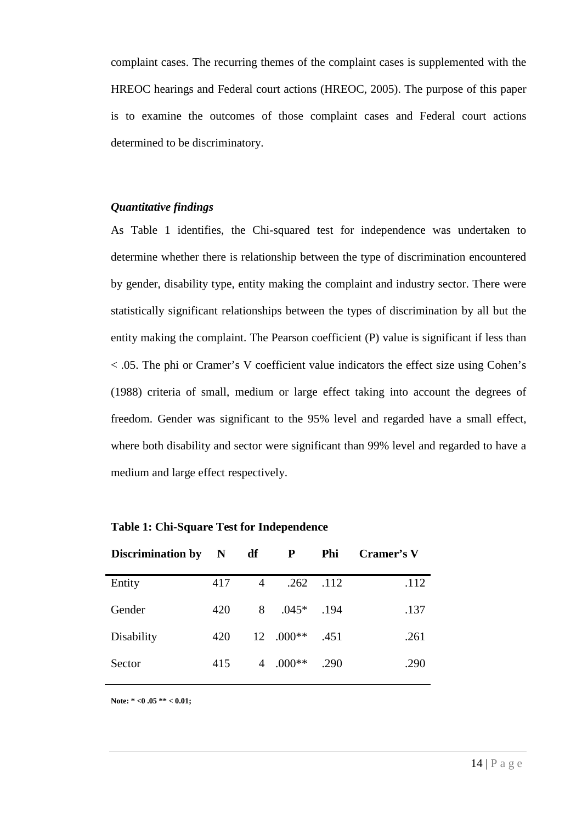complaint cases. The recurring themes of the complaint cases is supplemented with the HREOC hearings and Federal court actions (HREOC, 2005). The purpose of this paper is to examine the outcomes of those complaint cases and Federal court actions determined to be discriminatory.

# *Quantitative findings*

As Table 1 identifies, the Chi-squared test for independence was undertaken to determine whether there is relationship between the type of discrimination encountered by gender, disability type, entity making the complaint and industry sector. There were statistically significant relationships between the types of discrimination by all but the entity making the complaint. The Pearson coefficient (P) value is significant if less than < .05. The phi or Cramer's V coefficient value indicators the effect size using Cohen's (1988) criteria of small, medium or large effect taking into account the degrees of freedom. Gender was significant to the 95% level and regarded have a small effect, where both disability and sector were significant than 99% level and regarded to have a medium and large effect respectively.

| Discrimination by N |     | df             | P         | Phi  | Cramer's V |
|---------------------|-----|----------------|-----------|------|------------|
| Entity              | 417 | 4              | .262      | .112 | .112       |
| Gender              | 420 | 8              | $.045*$   | .194 | .137       |
| Disability          | 420 |                | 12 .000** | .451 | .261       |
| Sector              | 415 | $\overline{4}$ | $.000**$  | .290 | .290       |

|  |  |  | <b>Table 1: Chi-Square Test for Independence</b> |
|--|--|--|--------------------------------------------------|
|--|--|--|--------------------------------------------------|

**Note: \* <0 .05 \*\* < 0.01;**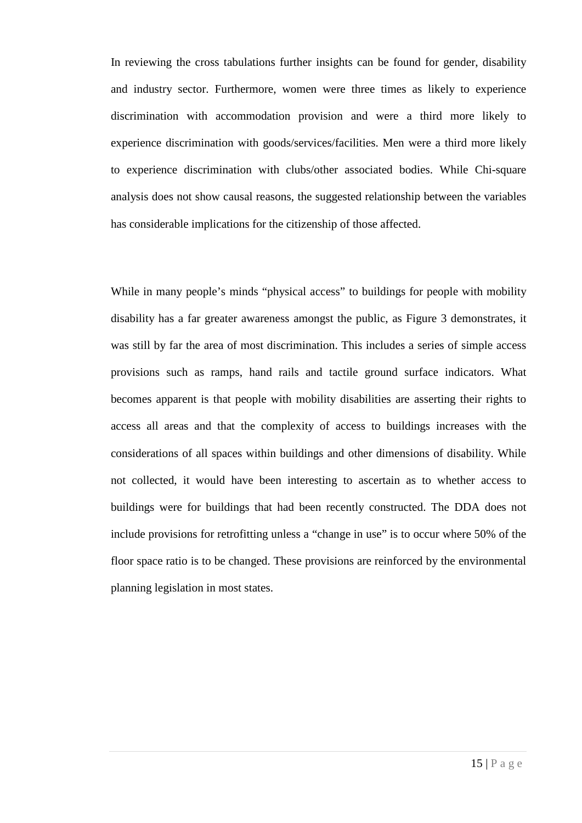In reviewing the cross tabulations further insights can be found for gender, disability and industry sector. Furthermore, women were three times as likely to experience discrimination with accommodation provision and were a third more likely to experience discrimination with goods/services/facilities. Men were a third more likely to experience discrimination with clubs/other associated bodies. While Chi-square analysis does not show causal reasons, the suggested relationship between the variables has considerable implications for the citizenship of those affected.

While in many people's minds "physical access" to buildings for people with mobility disability has a far greater awareness amongst the public, as Figure 3 demonstrates, it was still by far the area of most discrimination. This includes a series of simple access provisions such as ramps, hand rails and tactile ground surface indicators. What becomes apparent is that people with mobility disabilities are asserting their rights to access all areas and that the complexity of access to buildings increases with the considerations of all spaces within buildings and other dimensions of disability. While not collected, it would have been interesting to ascertain as to whether access to buildings were for buildings that had been recently constructed. The DDA does not include provisions for retrofitting unless a "change in use" is to occur where 50% of the floor space ratio is to be changed. These provisions are reinforced by the environmental planning legislation in most states.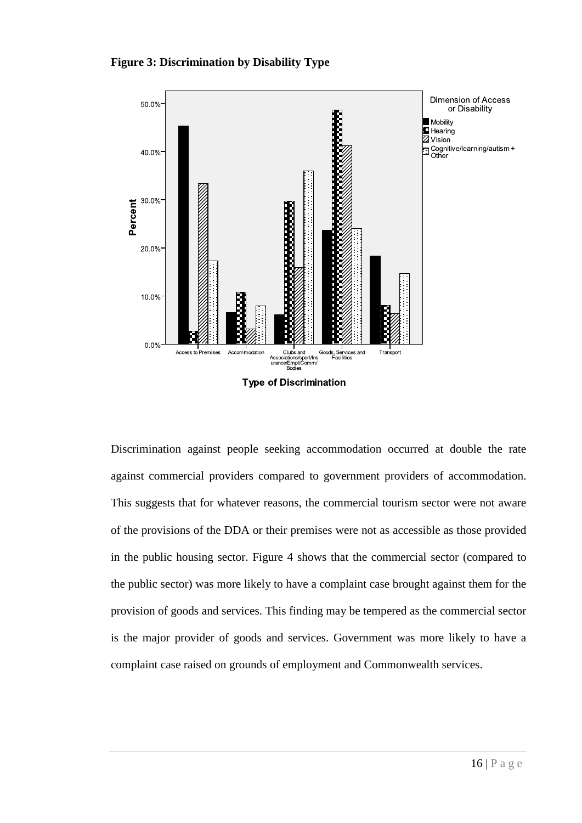## **Figure 3: Discrimination by Disability Type**



Discrimination against people seeking accommodation occurred at double the rate against commercial providers compared to government providers of accommodation. This suggests that for whatever reasons, the commercial tourism sector were not aware of the provisions of the DDA or their premises were not as accessible as those provided in the public housing sector. Figure 4 shows that the commercial sector (compared to the public sector) was more likely to have a complaint case brought against them for the provision of goods and services. This finding may be tempered as the commercial sector is the major provider of goods and services. Government was more likely to have a complaint case raised on grounds of employment and Commonwealth services.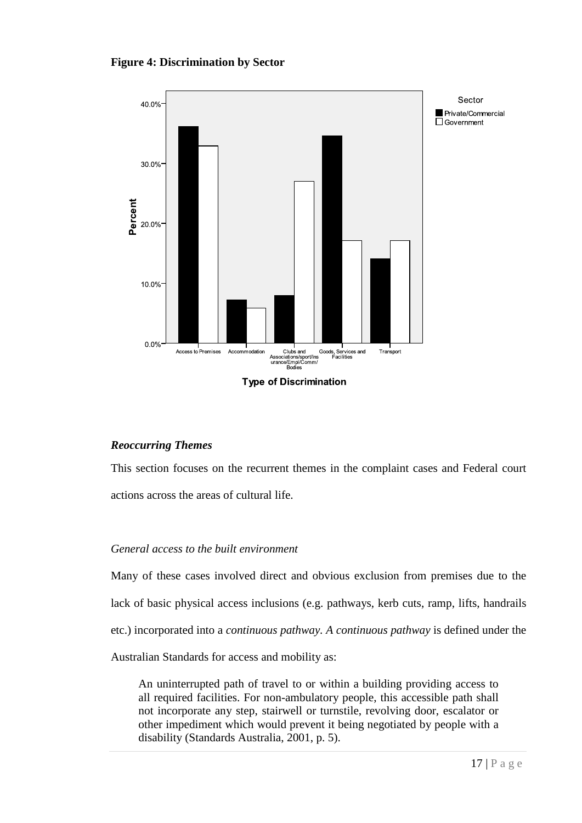## **Figure 4: Discrimination by Sector**



# *Reoccurring Themes*

This section focuses on the recurrent themes in the complaint cases and Federal court actions across the areas of cultural life.

# *General access to the built environment*

Many of these cases involved direct and obvious exclusion from premises due to the lack of basic physical access inclusions (e.g. pathways, kerb cuts, ramp, lifts, handrails etc.) incorporated into a *continuous pathway. A continuous pathway* is defined under the Australian Standards for access and mobility as:

An uninterrupted path of travel to or within a building providing access to all required facilities. For non-ambulatory people, this accessible path shall not incorporate any step, stairwell or turnstile, revolving door, escalator or other impediment which would prevent it being negotiated by people with a disability (Standards Australia, 2001, p. 5).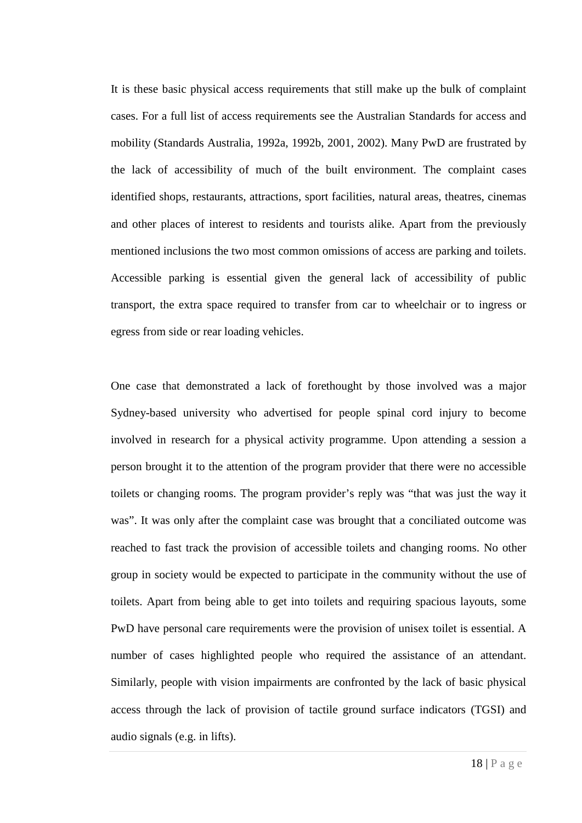It is these basic physical access requirements that still make up the bulk of complaint cases. For a full list of access requirements see the Australian Standards for access and mobility (Standards Australia, 1992a, 1992b, 2001, 2002). Many PwD are frustrated by the lack of accessibility of much of the built environment. The complaint cases identified shops, restaurants, attractions, sport facilities, natural areas, theatres, cinemas and other places of interest to residents and tourists alike. Apart from the previously mentioned inclusions the two most common omissions of access are parking and toilets. Accessible parking is essential given the general lack of accessibility of public transport, the extra space required to transfer from car to wheelchair or to ingress or egress from side or rear loading vehicles.

One case that demonstrated a lack of forethought by those involved was a major Sydney-based university who advertised for people spinal cord injury to become involved in research for a physical activity programme. Upon attending a session a person brought it to the attention of the program provider that there were no accessible toilets or changing rooms. The program provider's reply was "that was just the way it was". It was only after the complaint case was brought that a conciliated outcome was reached to fast track the provision of accessible toilets and changing rooms. No other group in society would be expected to participate in the community without the use of toilets. Apart from being able to get into toilets and requiring spacious layouts, some PwD have personal care requirements were the provision of unisex toilet is essential. A number of cases highlighted people who required the assistance of an attendant. Similarly, people with vision impairments are confronted by the lack of basic physical access through the lack of provision of tactile ground surface indicators (TGSI) and audio signals (e.g. in lifts).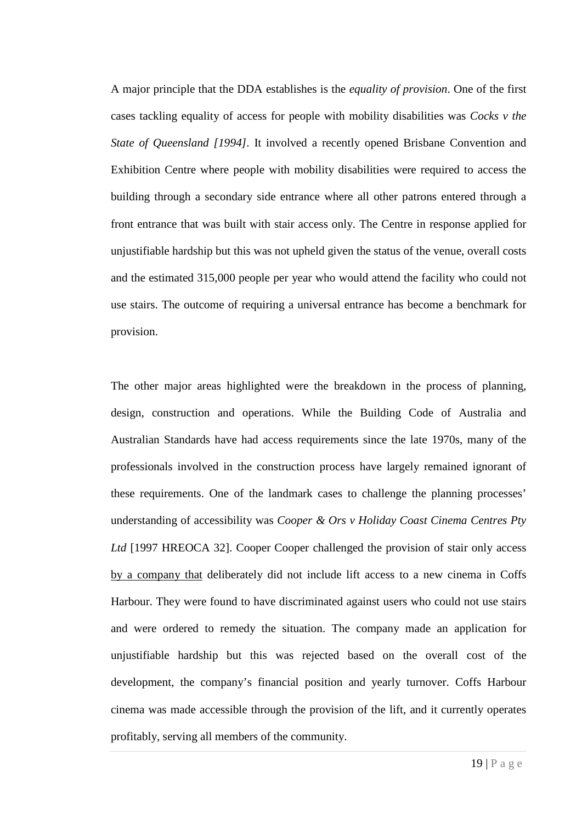A major principle that the DDA establishes is the *equality of provision*. One of the first cases tackling equality of access for people with mobility disabilities was *Cocks v the State of Queensland [1994].* It involved a recently opened Brisbane Convention and Exhibition Centre where people with mobility disabilities were required to access the building through a secondary side entrance where all other patrons entered through a front entrance that was built with stair access only. The Centre in response applied for unjustifiable hardship but this was not upheld given the status of the venue, overall costs and the estimated 315,000 people per year who would attend the facility who could not use stairs. The outcome of requiring a universal entrance has become a benchmark for provision.

The other major areas highlighted were the breakdown in the process of planning, design, construction and operations. While the Building Code of Australia and Australian Standards have had access requirements since the late 1970s, many of the professionals involved in the construction process have largely remained ignorant of these requirements. One of the landmark cases to challenge the planning processes' understanding of accessibility was *Cooper & Ors v Holiday Coast Cinema Centres Pty Ltd* [1997 HREOCA 32]. Cooper Cooper challenged the provision of stair only access by a company that deliberately did not include lift access to a new cinema in Coffs Harbour. They were found to have discriminated against users who could not use stairs and were ordered to remedy the situation. The company made an application for unjustifiable hardship but this was rejected based on the overall cost of the development, the company's financial position and yearly turnover. Coffs Harbour cinema was made accessible through the provision of the lift, and it currently operates profitably, serving all members of the community.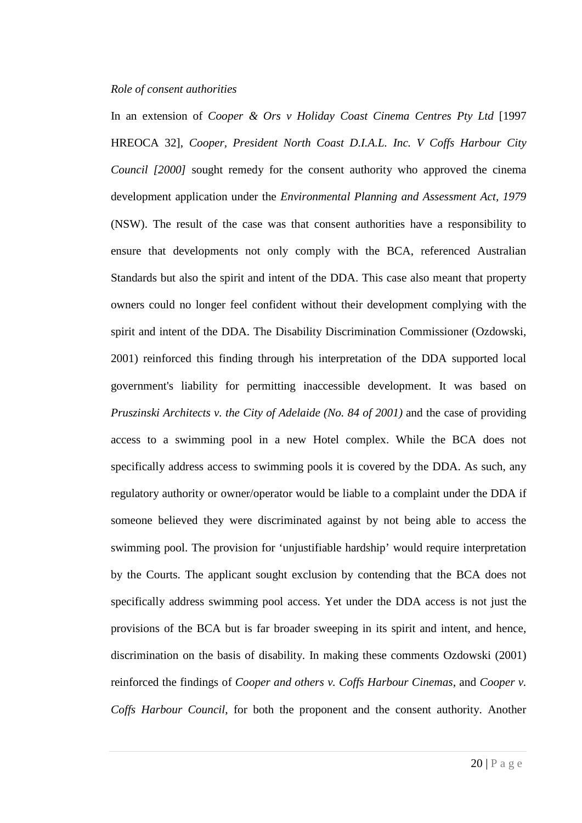## *Role of consent authorities*

In an extension of *Cooper & Ors v Holiday Coast Cinema Centres Pty Ltd* [1997 HREOCA 32], *Cooper, President North Coast D.I.A.L. Inc. V Coffs Harbour City Council [2000]* sought remedy for the consent authority who approved the cinema development application under the *Environmental Planning and Assessment Act, 1979* (NSW). The result of the case was that consent authorities have a responsibility to ensure that developments not only comply with the BCA, referenced Australian Standards but also the spirit and intent of the DDA. This case also meant that property owners could no longer feel confident without their development complying with the spirit and intent of the DDA. The Disability Discrimination Commissioner (Ozdowski, 2001) reinforced this finding through his interpretation of the DDA supported local government's liability for permitting inaccessible development. It was based on *Pruszinski Architects v. the City of Adelaide (No. 84 of 2001)* and the case of providing access to a swimming pool in a new Hotel complex. While the BCA does not specifically address access to swimming pools it is covered by the DDA. As such, any regulatory authority or owner/operator would be liable to a complaint under the DDA if someone believed they were discriminated against by not being able to access the swimming pool. The provision for 'unjustifiable hardship' would require interpretation by the Courts. The applicant sought exclusion by contending that the BCA does not specifically address swimming pool access. Yet under the DDA access is not just the provisions of the BCA but is far broader sweeping in its spirit and intent, and hence, discrimination on the basis of disability. In making these comments Ozdowski (2001) reinforced the findings of *Cooper and others v. Coffs Harbour Cinemas*, and *Cooper v. Coffs Harbour Council*, for both the proponent and the consent authority. Another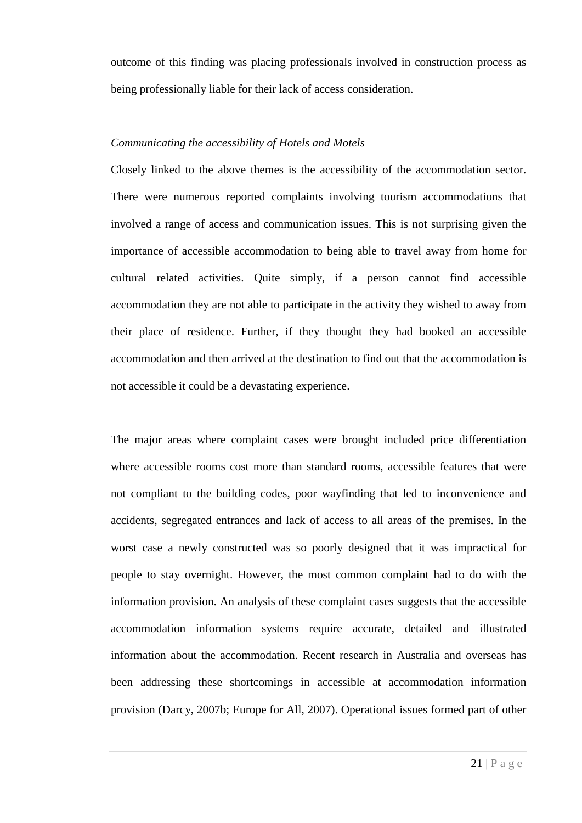outcome of this finding was placing professionals involved in construction process as being professionally liable for their lack of access consideration.

## *Communicating the accessibility of Hotels and Motels*

Closely linked to the above themes is the accessibility of the accommodation sector. There were numerous reported complaints involving tourism accommodations that involved a range of access and communication issues. This is not surprising given the importance of accessible accommodation to being able to travel away from home for cultural related activities. Quite simply, if a person cannot find accessible accommodation they are not able to participate in the activity they wished to away from their place of residence. Further, if they thought they had booked an accessible accommodation and then arrived at the destination to find out that the accommodation is not accessible it could be a devastating experience.

The major areas where complaint cases were brought included price differentiation where accessible rooms cost more than standard rooms, accessible features that were not compliant to the building codes, poor wayfinding that led to inconvenience and accidents, segregated entrances and lack of access to all areas of the premises. In the worst case a newly constructed was so poorly designed that it was impractical for people to stay overnight. However, the most common complaint had to do with the information provision. An analysis of these complaint cases suggests that the accessible accommodation information systems require accurate, detailed and illustrated information about the accommodation. Recent research in Australia and overseas has been addressing these shortcomings in accessible at accommodation information provision (Darcy, 2007b; Europe for All, 2007). Operational issues formed part of other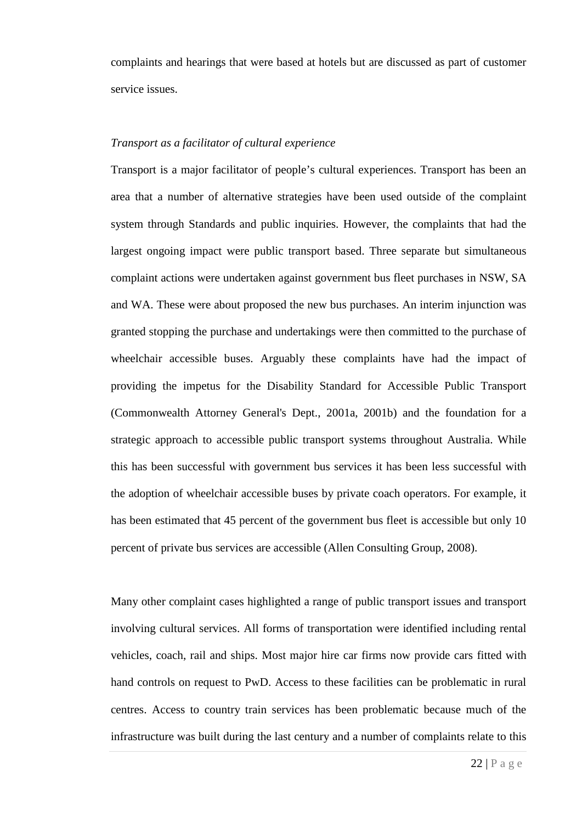complaints and hearings that were based at hotels but are discussed as part of customer service issues.

## *Transport as a facilitator of cultural experience*

Transport is a major facilitator of people's cultural experiences. Transport has been an area that a number of alternative strategies have been used outside of the complaint system through Standards and public inquiries. However, the complaints that had the largest ongoing impact were public transport based. Three separate but simultaneous complaint actions were undertaken against government bus fleet purchases in NSW, SA and WA. These were about proposed the new bus purchases. An interim injunction was granted stopping the purchase and undertakings were then committed to the purchase of wheelchair accessible buses. Arguably these complaints have had the impact of providing the impetus for the Disability Standard for Accessible Public Transport (Commonwealth Attorney General's Dept., 2001a, 2001b) and the foundation for a strategic approach to accessible public transport systems throughout Australia. While this has been successful with government bus services it has been less successful with the adoption of wheelchair accessible buses by private coach operators. For example, it has been estimated that 45 percent of the government bus fleet is accessible but only 10 percent of private bus services are accessible (Allen Consulting Group, 2008).

Many other complaint cases highlighted a range of public transport issues and transport involving cultural services. All forms of transportation were identified including rental vehicles, coach, rail and ships. Most major hire car firms now provide cars fitted with hand controls on request to PwD. Access to these facilities can be problematic in rural centres. Access to country train services has been problematic because much of the infrastructure was built during the last century and a number of complaints relate to this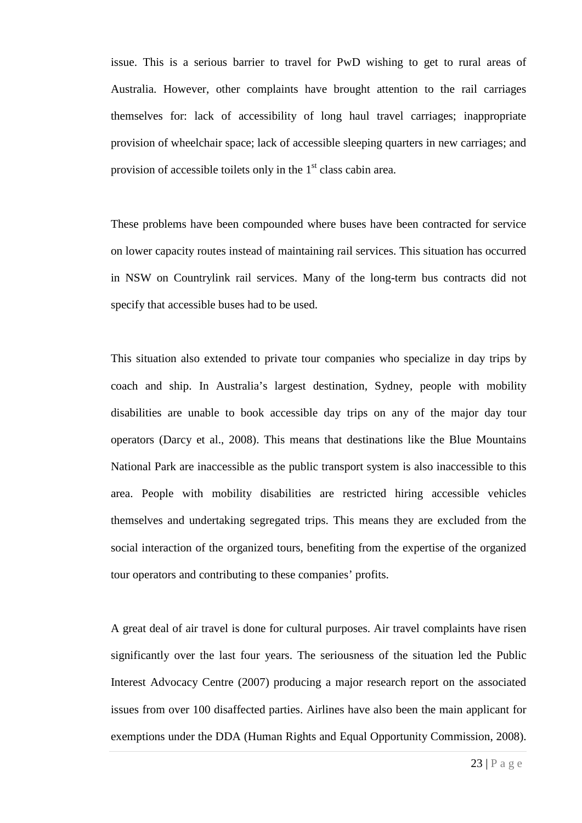issue. This is a serious barrier to travel for PwD wishing to get to rural areas of Australia. However, other complaints have brought attention to the rail carriages themselves for: lack of accessibility of long haul travel carriages; inappropriate provision of wheelchair space; lack of accessible sleeping quarters in new carriages; and provision of accessible toilets only in the  $1<sup>st</sup>$  class cabin area.

These problems have been compounded where buses have been contracted for service on lower capacity routes instead of maintaining rail services. This situation has occurred in NSW on Countrylink rail services. Many of the long-term bus contracts did not specify that accessible buses had to be used.

This situation also extended to private tour companies who specialize in day trips by coach and ship. In Australia's largest destination, Sydney, people with mobility disabilities are unable to book accessible day trips on any of the major day tour operators (Darcy et al., 2008). This means that destinations like the Blue Mountains National Park are inaccessible as the public transport system is also inaccessible to this area. People with mobility disabilities are restricted hiring accessible vehicles themselves and undertaking segregated trips. This means they are excluded from the social interaction of the organized tours, benefiting from the expertise of the organized tour operators and contributing to these companies' profits.

A great deal of air travel is done for cultural purposes. Air travel complaints have risen significantly over the last four years. The seriousness of the situation led the Public Interest Advocacy Centre (2007) producing a major research report on the associated issues from over 100 disaffected parties. Airlines have also been the main applicant for exemptions under the DDA (Human Rights and Equal Opportunity Commission, 2008).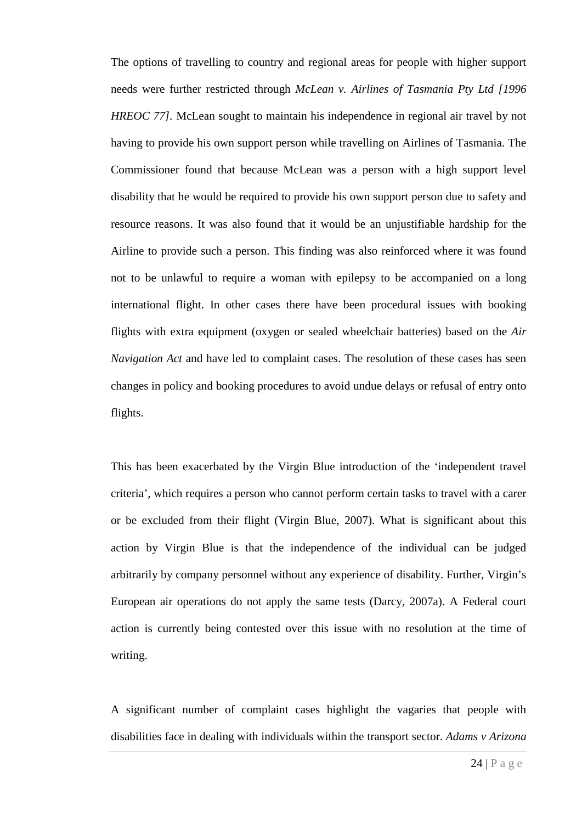The options of travelling to country and regional areas for people with higher support needs were further restricted through *McLean v. Airlines of Tasmania Pty Ltd [1996 HREOC 77]*. McLean sought to maintain his independence in regional air travel by not having to provide his own support person while travelling on Airlines of Tasmania. The Commissioner found that because McLean was a person with a high support level disability that he would be required to provide his own support person due to safety and resource reasons. It was also found that it would be an unjustifiable hardship for the Airline to provide such a person. This finding was also reinforced where it was found not to be unlawful to require a woman with epilepsy to be accompanied on a long international flight. In other cases there have been procedural issues with booking flights with extra equipment (oxygen or sealed wheelchair batteries) based on the *Air Navigation Act* and have led to complaint cases. The resolution of these cases has seen changes in policy and booking procedures to avoid undue delays or refusal of entry onto flights.

This has been exacerbated by the Virgin Blue introduction of the 'independent travel criteria', which requires a person who cannot perform certain tasks to travel with a carer or be excluded from their flight (Virgin Blue, 2007). What is significant about this action by Virgin Blue is that the independence of the individual can be judged arbitrarily by company personnel without any experience of disability. Further, Virgin's European air operations do not apply the same tests (Darcy, 2007a). A Federal court action is currently being contested over this issue with no resolution at the time of writing.

A significant number of complaint cases highlight the vagaries that people with disabilities face in dealing with individuals within the transport sector. *Adams v Arizona*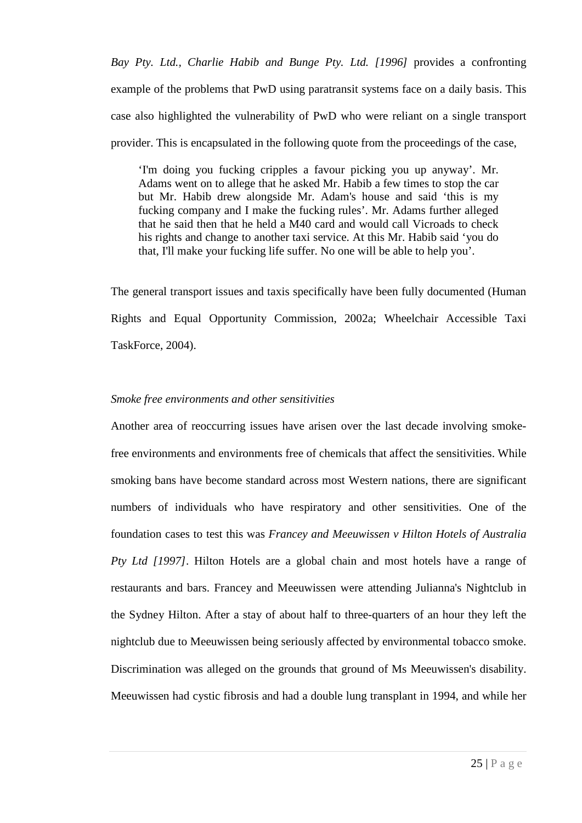*Bay Pty. Ltd., Charlie Habib and Bunge Pty. Ltd. [1996]* provides a confronting example of the problems that PwD using paratransit systems face on a daily basis. This case also highlighted the vulnerability of PwD who were reliant on a single transport provider. This is encapsulated in the following quote from the proceedings of the case,

'I'm doing you fucking cripples a favour picking you up anyway'. Mr. Adams went on to allege that he asked Mr. Habib a few times to stop the car but Mr. Habib drew alongside Mr. Adam's house and said 'this is my fucking company and I make the fucking rules'. Mr. Adams further alleged that he said then that he held a M40 card and would call Vicroads to check his rights and change to another taxi service. At this Mr. Habib said 'you do that, I'll make your fucking life suffer. No one will be able to help you'.

The general transport issues and taxis specifically have been fully documented (Human Rights and Equal Opportunity Commission, 2002a; Wheelchair Accessible Taxi TaskForce, 2004).

## *Smoke free environments and other sensitivities*

Another area of reoccurring issues have arisen over the last decade involving smokefree environments and environments free of chemicals that affect the sensitivities. While smoking bans have become standard across most Western nations, there are significant numbers of individuals who have respiratory and other sensitivities. One of the foundation cases to test this was *Francey and Meeuwissen v Hilton Hotels of Australia Pty Ltd [1997]*. Hilton Hotels are a global chain and most hotels have a range of restaurants and bars. Francey and Meeuwissen were attending Julianna's Nightclub in the Sydney Hilton. After a stay of about half to three-quarters of an hour they left the nightclub due to Meeuwissen being seriously affected by environmental tobacco smoke. Discrimination was alleged on the grounds that ground of Ms Meeuwissen's disability. Meeuwissen had cystic fibrosis and had a double lung transplant in 1994, and while her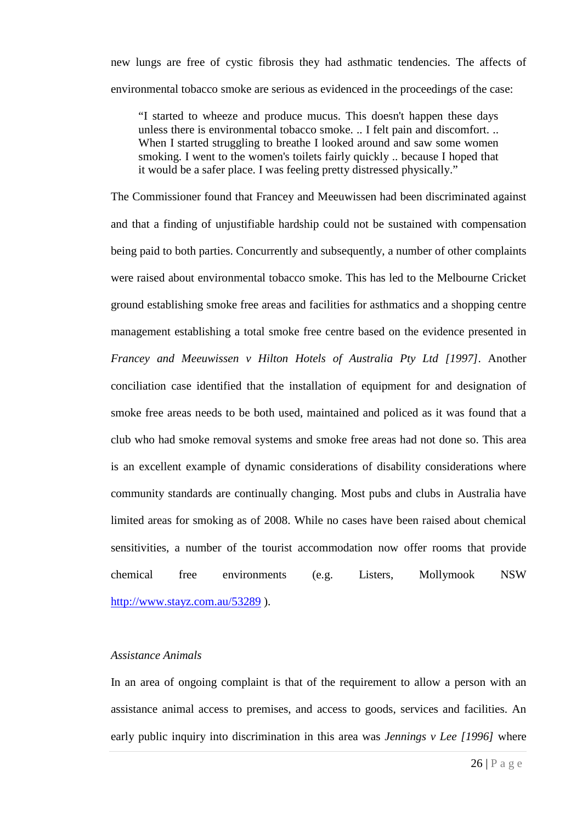new lungs are free of cystic fibrosis they had asthmatic tendencies. The affects of environmental tobacco smoke are serious as evidenced in the proceedings of the case:

"I started to wheeze and produce mucus. This doesn't happen these days unless there is environmental tobacco smoke. .. I felt pain and discomfort. .. When I started struggling to breathe I looked around and saw some women smoking. I went to the women's toilets fairly quickly .. because I hoped that it would be a safer place. I was feeling pretty distressed physically."

The Commissioner found that Francey and Meeuwissen had been discriminated against and that a finding of unjustifiable hardship could not be sustained with compensation being paid to both parties. Concurrently and subsequently, a number of other complaints were raised about environmental tobacco smoke. This has led to the Melbourne Cricket ground establishing smoke free areas and facilities for asthmatics and a shopping centre management establishing a total smoke free centre based on the evidence presented in *Francey and Meeuwissen v Hilton Hotels of Australia Pty Ltd [1997]*. Another conciliation case identified that the installation of equipment for and designation of smoke free areas needs to be both used, maintained and policed as it was found that a club who had smoke removal systems and smoke free areas had not done so. This area is an excellent example of dynamic considerations of disability considerations where community standards are continually changing. Most pubs and clubs in Australia have limited areas for smoking as of 2008. While no cases have been raised about chemical sensitivities, a number of the tourist accommodation now offer rooms that provide chemical free environments (e.g. Listers, Mollymook NSW <http://www.stayz.com.au/53289> ).

## *Assistance Animals*

In an area of ongoing complaint is that of the requirement to allow a person with an assistance animal access to premises, and access to goods, services and facilities. An early public inquiry into discrimination in this area was *Jennings v Lee [1996]* where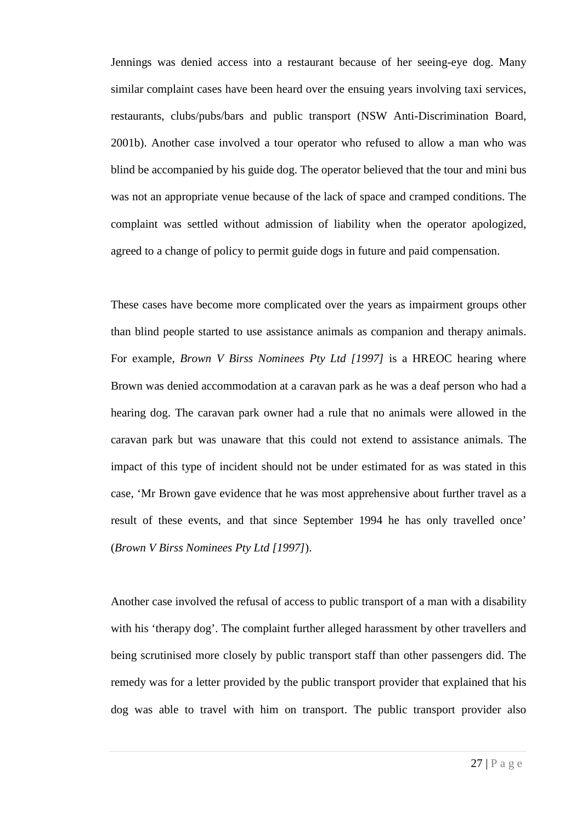Jennings was denied access into a restaurant because of her seeing-eye dog. Many similar complaint cases have been heard over the ensuing years involving taxi services, restaurants, clubs/pubs/bars and public transport (NSW Anti-Discrimination Board, 2001b). Another case involved a tour operator who refused to allow a man who was blind be accompanied by his guide dog. The operator believed that the tour and mini bus was not an appropriate venue because of the lack of space and cramped conditions. The complaint was settled without admission of liability when the operator apologized, agreed to a change of policy to permit guide dogs in future and paid compensation.

These cases have become more complicated over the years as impairment groups other than blind people started to use assistance animals as companion and therapy animals. For example, *Brown V Birss Nominees Pty Ltd [1997]* is a HREOC hearing where Brown was denied accommodation at a caravan park as he was a deaf person who had a hearing dog. The caravan park owner had a rule that no animals were allowed in the caravan park but was unaware that this could not extend to assistance animals. The impact of this type of incident should not be under estimated for as was stated in this case, 'Mr Brown gave evidence that he was most apprehensive about further travel as a result of these events, and that since September 1994 he has only travelled once' (*Brown V Birss Nominees Pty Ltd [1997]*).

Another case involved the refusal of access to public transport of a man with a disability with his 'therapy dog'. The complaint further alleged harassment by other travellers and being scrutinised more closely by public transport staff than other passengers did. The remedy was for a letter provided by the public transport provider that explained that his dog was able to travel with him on transport. The public transport provider also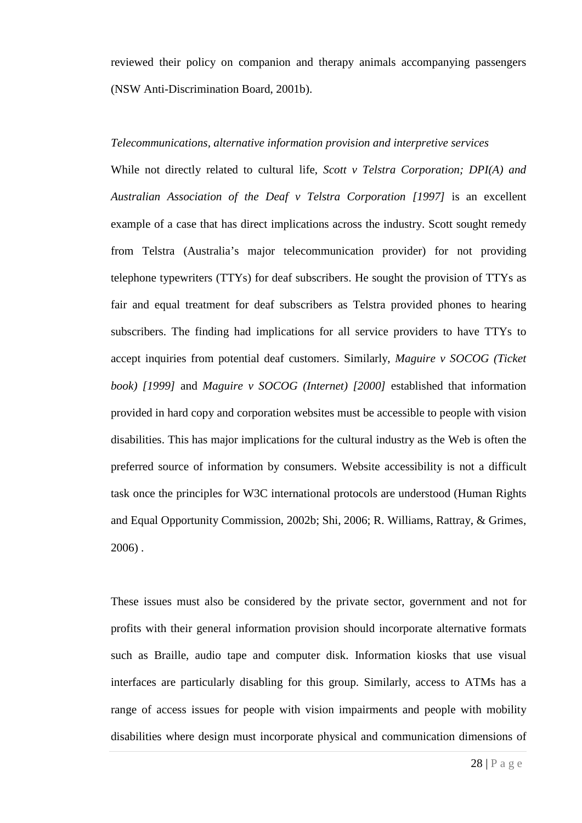reviewed their policy on companion and therapy animals accompanying passengers (NSW Anti-Discrimination Board, 2001b).

## *Telecommunications, alternative information provision and interpretive services*

While not directly related to cultural life, *Scott v Telstra Corporation; DPI(A) and Australian Association of the Deaf v Telstra Corporation [1997]* is an excellent example of a case that has direct implications across the industry. Scott sought remedy from Telstra (Australia's major telecommunication provider) for not providing telephone typewriters (TTYs) for deaf subscribers. He sought the provision of TTYs as fair and equal treatment for deaf subscribers as Telstra provided phones to hearing subscribers. The finding had implications for all service providers to have TTYs to accept inquiries from potential deaf customers. Similarly, *Maguire v SOCOG (Ticket book) [1999]* and *Maguire v SOCOG (Internet) [2000]* established that information provided in hard copy and corporation websites must be accessible to people with vision disabilities. This has major implications for the cultural industry as the Web is often the preferred source of information by consumers. Website accessibility is not a difficult task once the principles for W3C international protocols are understood (Human Rights and Equal Opportunity Commission, 2002b; Shi, 2006; R. Williams, Rattray, & Grimes, 2006) .

These issues must also be considered by the private sector, government and not for profits with their general information provision should incorporate alternative formats such as Braille, audio tape and computer disk. Information kiosks that use visual interfaces are particularly disabling for this group. Similarly, access to ATMs has a range of access issues for people with vision impairments and people with mobility disabilities where design must incorporate physical and communication dimensions of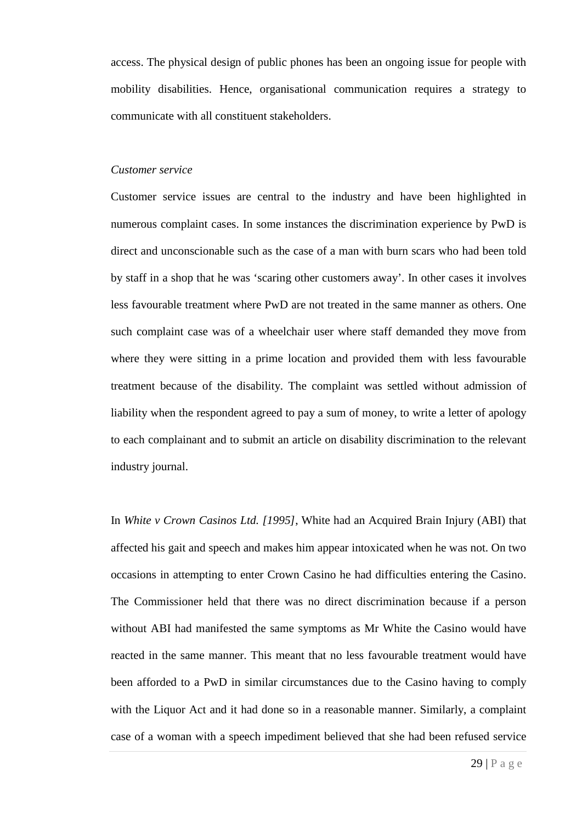access. The physical design of public phones has been an ongoing issue for people with mobility disabilities. Hence, organisational communication requires a strategy to communicate with all constituent stakeholders.

## *Customer service*

Customer service issues are central to the industry and have been highlighted in numerous complaint cases. In some instances the discrimination experience by PwD is direct and unconscionable such as the case of a man with burn scars who had been told by staff in a shop that he was 'scaring other customers away'. In other cases it involves less favourable treatment where PwD are not treated in the same manner as others. One such complaint case was of a wheelchair user where staff demanded they move from where they were sitting in a prime location and provided them with less favourable treatment because of the disability. The complaint was settled without admission of liability when the respondent agreed to pay a sum of money, to write a letter of apology to each complainant and to submit an article on disability discrimination to the relevant industry journal.

In *White v Crown Casinos Ltd. [1995]*, White had an Acquired Brain Injury (ABI) that affected his gait and speech and makes him appear intoxicated when he was not. On two occasions in attempting to enter Crown Casino he had difficulties entering the Casino. The Commissioner held that there was no direct discrimination because if a person without ABI had manifested the same symptoms as Mr White the Casino would have reacted in the same manner. This meant that no less favourable treatment would have been afforded to a PwD in similar circumstances due to the Casino having to comply with the Liquor Act and it had done so in a reasonable manner. Similarly, a complaint case of a woman with a speech impediment believed that she had been refused service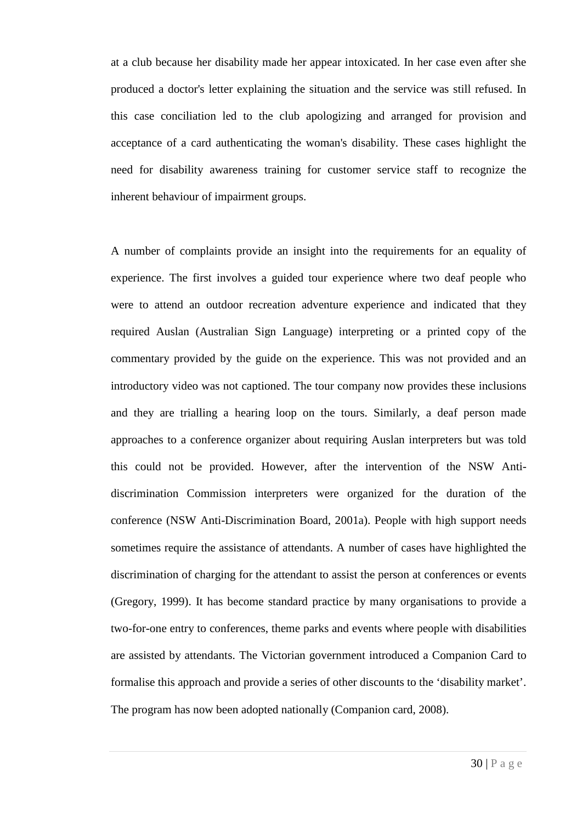at a club because her disability made her appear intoxicated. In her case even after she produced a doctor's letter explaining the situation and the service was still refused. In this case conciliation led to the club apologizing and arranged for provision and acceptance of a card authenticating the woman's disability. These cases highlight the need for disability awareness training for customer service staff to recognize the inherent behaviour of impairment groups.

A number of complaints provide an insight into the requirements for an equality of experience. The first involves a guided tour experience where two deaf people who were to attend an outdoor recreation adventure experience and indicated that they required Auslan (Australian Sign Language) interpreting or a printed copy of the commentary provided by the guide on the experience. This was not provided and an introductory video was not captioned. The tour company now provides these inclusions and they are trialling a hearing loop on the tours. Similarly, a deaf person made approaches to a conference organizer about requiring Auslan interpreters but was told this could not be provided. However, after the intervention of the NSW Antidiscrimination Commission interpreters were organized for the duration of the conference (NSW Anti-Discrimination Board, 2001a). People with high support needs sometimes require the assistance of attendants. A number of cases have highlighted the discrimination of charging for the attendant to assist the person at conferences or events (Gregory, 1999). It has become standard practice by many organisations to provide a two-for-one entry to conferences, theme parks and events where people with disabilities are assisted by attendants. The Victorian government introduced a Companion Card to formalise this approach and provide a series of other discounts to the 'disability market'. The program has now been adopted nationally (Companion card, 2008).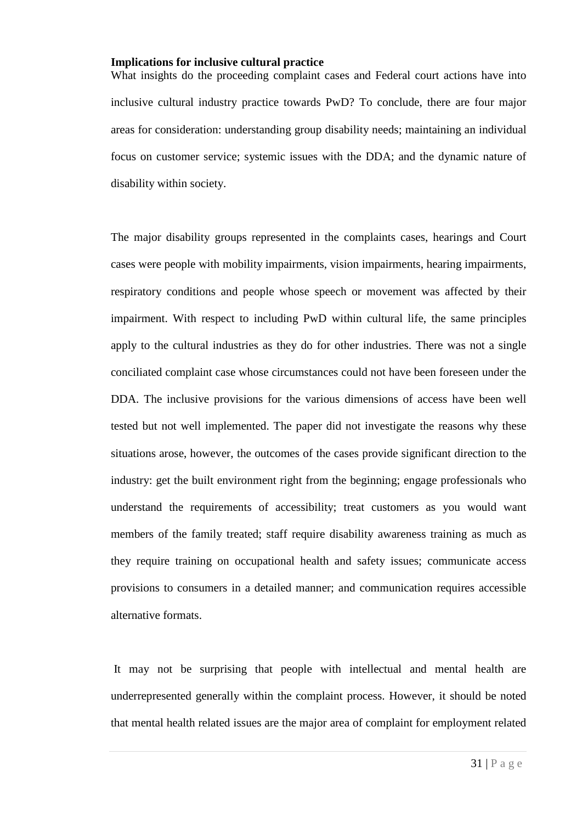## **Implications for inclusive cultural practice**

What insights do the proceeding complaint cases and Federal court actions have into inclusive cultural industry practice towards PwD? To conclude, there are four major areas for consideration: understanding group disability needs; maintaining an individual focus on customer service; systemic issues with the DDA; and the dynamic nature of disability within society.

The major disability groups represented in the complaints cases, hearings and Court cases were people with mobility impairments, vision impairments, hearing impairments, respiratory conditions and people whose speech or movement was affected by their impairment. With respect to including PwD within cultural life, the same principles apply to the cultural industries as they do for other industries. There was not a single conciliated complaint case whose circumstances could not have been foreseen under the DDA. The inclusive provisions for the various dimensions of access have been well tested but not well implemented. The paper did not investigate the reasons why these situations arose, however, the outcomes of the cases provide significant direction to the industry: get the built environment right from the beginning; engage professionals who understand the requirements of accessibility; treat customers as you would want members of the family treated; staff require disability awareness training as much as they require training on occupational health and safety issues; communicate access provisions to consumers in a detailed manner; and communication requires accessible alternative formats.

It may not be surprising that people with intellectual and mental health are underrepresented generally within the complaint process. However, it should be noted that mental health related issues are the major area of complaint for employment related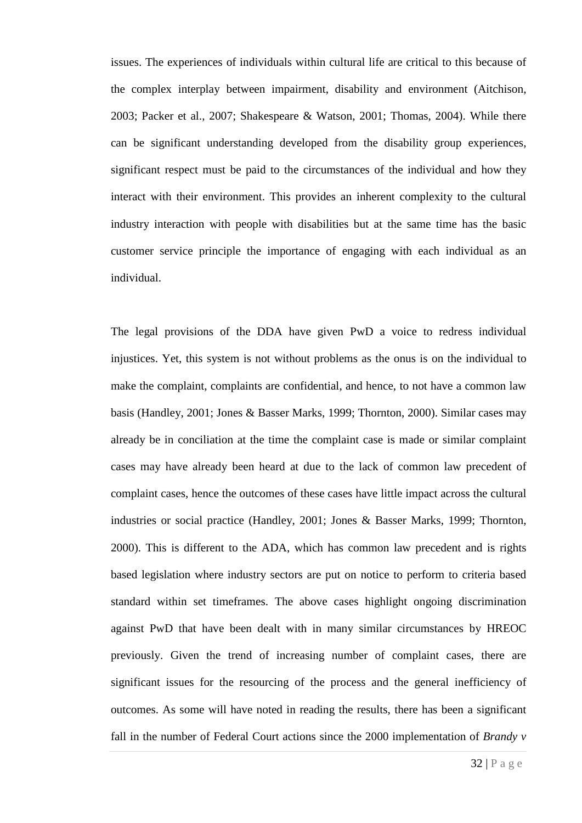issues. The experiences of individuals within cultural life are critical to this because of the complex interplay between impairment, disability and environment (Aitchison, 2003; Packer et al., 2007; Shakespeare & Watson, 2001; Thomas, 2004). While there can be significant understanding developed from the disability group experiences, significant respect must be paid to the circumstances of the individual and how they interact with their environment. This provides an inherent complexity to the cultural industry interaction with people with disabilities but at the same time has the basic customer service principle the importance of engaging with each individual as an individual.

The legal provisions of the DDA have given PwD a voice to redress individual injustices. Yet, this system is not without problems as the onus is on the individual to make the complaint, complaints are confidential, and hence, to not have a common law basis (Handley, 2001; Jones & Basser Marks, 1999; Thornton, 2000). Similar cases may already be in conciliation at the time the complaint case is made or similar complaint cases may have already been heard at due to the lack of common law precedent of complaint cases, hence the outcomes of these cases have little impact across the cultural industries or social practice (Handley, 2001; Jones & Basser Marks, 1999; Thornton, 2000). This is different to the ADA, which has common law precedent and is rights based legislation where industry sectors are put on notice to perform to criteria based standard within set timeframes. The above cases highlight ongoing discrimination against PwD that have been dealt with in many similar circumstances by HREOC previously. Given the trend of increasing number of complaint cases, there are significant issues for the resourcing of the process and the general inefficiency of outcomes. As some will have noted in reading the results, there has been a significant fall in the number of Federal Court actions since the 2000 implementation of *Brandy v*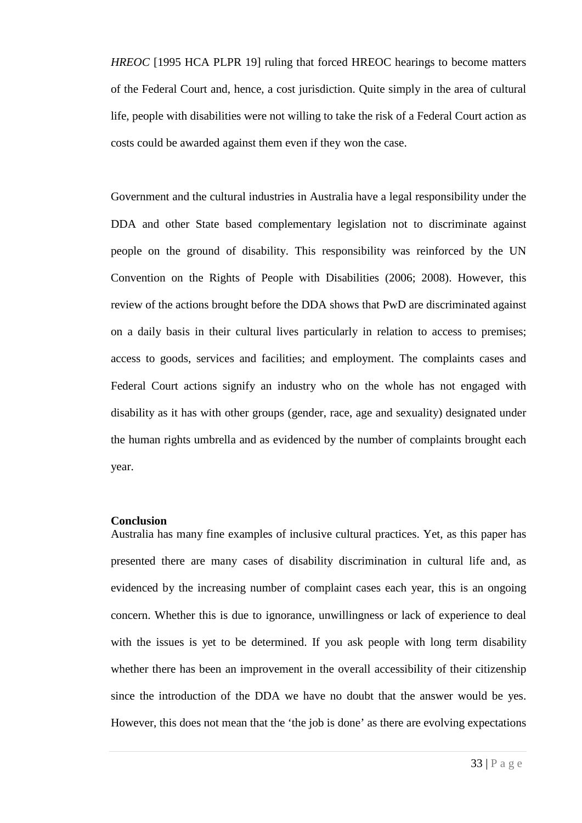*HREOC* [1995 HCA PLPR 19] ruling that forced HREOC hearings to become matters of the Federal Court and, hence, a cost jurisdiction. Quite simply in the area of cultural life, people with disabilities were not willing to take the risk of a Federal Court action as costs could be awarded against them even if they won the case.

Government and the cultural industries in Australia have a legal responsibility under the DDA and other State based complementary legislation not to discriminate against people on the ground of disability. This responsibility was reinforced by the UN Convention on the Rights of People with Disabilities (2006; 2008). However, this review of the actions brought before the DDA shows that PwD are discriminated against on a daily basis in their cultural lives particularly in relation to access to premises; access to goods, services and facilities; and employment. The complaints cases and Federal Court actions signify an industry who on the whole has not engaged with disability as it has with other groups (gender, race, age and sexuality) designated under the human rights umbrella and as evidenced by the number of complaints brought each year.

## **Conclusion**

Australia has many fine examples of inclusive cultural practices. Yet, as this paper has presented there are many cases of disability discrimination in cultural life and, as evidenced by the increasing number of complaint cases each year, this is an ongoing concern. Whether this is due to ignorance, unwillingness or lack of experience to deal with the issues is yet to be determined. If you ask people with long term disability whether there has been an improvement in the overall accessibility of their citizenship since the introduction of the DDA we have no doubt that the answer would be yes. However, this does not mean that the 'the job is done' as there are evolving expectations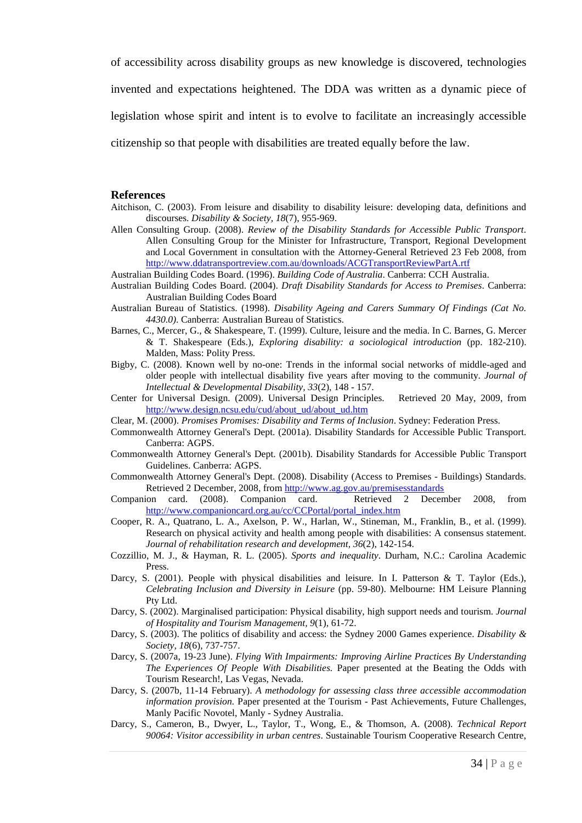of accessibility across disability groups as new knowledge is discovered, technologies

invented and expectations heightened. The DDA was written as a dynamic piece of

legislation whose spirit and intent is to evolve to facilitate an increasingly accessible

citizenship so that people with disabilities are treated equally before the law.

#### **References**

- Aitchison, C. (2003). From leisure and disability to disability leisure: developing data, definitions and discourses. *Disability & Society, 18*(7), 955-969.
- Allen Consulting Group. (2008). *Review of the Disability Standards for Accessible Public Transport*. Allen Consulting Group for the Minister for Infrastructure, Transport, Regional Development and Local Government in consultation with the Attorney-General Retrieved 23 Feb 2008, from <http://www.ddatransportreview.com.au/downloads/ACGTransportReviewPartA.rtf>
- Australian Building Codes Board. (1996). *Building Code of Australia*. Canberra: CCH Australia.
- Australian Building Codes Board. (2004). *Draft Disability Standards for Access to Premises*. Canberra: Australian Building Codes Board
- Australian Bureau of Statistics. (1998). *Disability Ageing and Carers Summary Of Findings (Cat No. 4430.0)*. Canberra: Australian Bureau of Statistics.
- Barnes, C., Mercer, G., & Shakespeare, T. (1999). Culture, leisure and the media. In C. Barnes, G. Mercer & T. Shakespeare (Eds.), *Exploring disability: a sociological introduction* (pp. 182-210). Malden, Mass: Polity Press.
- Bigby, C. (2008). Known well by no-one: Trends in the informal social networks of middle-aged and older people with intellectual disability five years after moving to the community. *Journal of Intellectual & Developmental Disability, 33*(2), 148 - 157.
- Center for Universal Design. (2009). Universal Design Principles. Retrieved 20 May, 2009, from [http://www.design.ncsu.edu/cud/about\\_ud/about\\_ud.htm](http://www.design.ncsu.edu/cud/about_ud/about_ud.htm)

Clear, M. (2000). *Promises Promises: Disability and Terms of Inclusion*. Sydney: Federation Press.

- Commonwealth Attorney General's Dept. (2001a). Disability Standards for Accessible Public Transport. Canberra: AGPS.
- Commonwealth Attorney General's Dept. (2001b). Disability Standards for Accessible Public Transport Guidelines. Canberra: AGPS.
- Commonwealth Attorney General's Dept. (2008). Disability (Access to Premises Buildings) Standards. Retrieved 2 December, 2008, from<http://www.ag.gov.au/premisesstandards><br>ion card. (2008). Companion card. Retrieved 2 December 2008,
- Companion card. (2008). Companion card. Retrieved 2 December 2008, from [http://www.companioncard.org.au/cc/CCPortal/portal\\_index.htm](http://www.companioncard.org.au/cc/CCPortal/portal_index.htm)
- Cooper, R. A., Quatrano, L. A., Axelson, P. W., Harlan, W., Stineman, M., Franklin, B., et al. (1999). Research on physical activity and health among people with disabilities: A consensus statement. *Journal of rehabilitation research and development, 36*(2), 142-154.
- Cozzillio, M. J., & Hayman, R. L. (2005). *Sports and inequality*. Durham, N.C.: Carolina Academic Press.
- Darcy, S. (2001). People with physical disabilities and leisure. In I. Patterson & T. Taylor (Eds.), *Celebrating Inclusion and Diversity in Leisure* (pp. 59-80). Melbourne: HM Leisure Planning Pty Ltd.
- Darcy, S. (2002). Marginalised participation: Physical disability, high support needs and tourism. *Journal of Hospitality and Tourism Management, 9*(1), 61-72.
- Darcy, S. (2003). The politics of disability and access: the Sydney 2000 Games experience. *Disability & Society, 18*(6), 737-757.
- Darcy, S. (2007a, 19-23 June). *Flying With Impairments: Improving Airline Practices By Understanding The Experiences Of People With Disabilities.* Paper presented at the Beating the Odds with Tourism Research!, Las Vegas, Nevada.
- Darcy, S. (2007b, 11-14 February). *A methodology for assessing class three accessible accommodation information provision.* Paper presented at the Tourism - Past Achievements, Future Challenges, Manly Pacific Novotel, Manly - Sydney Australia.
- Darcy, S., Cameron, B., Dwyer, L., Taylor, T., Wong, E., & Thomson, A. (2008). *Technical Report 90064: Visitor accessibility in urban centres*. Sustainable Tourism Cooperative Research Centre,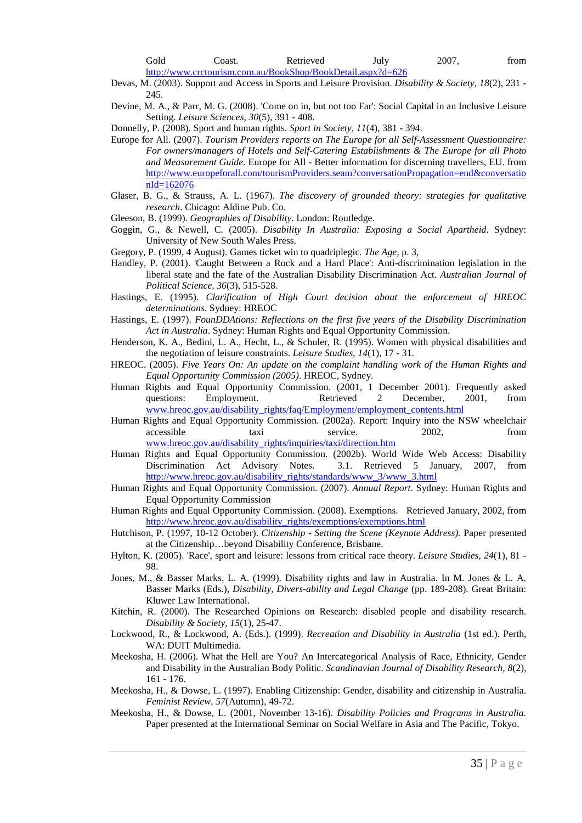Gold Coast. Retrieved July 2007, from <http://www.crctourism.com.au/BookShop/BookDetail.aspx?d=626>

Devas, M. (2003). Support and Access in Sports and Leisure Provision. *Disability & Society, 18*(2), 231 - 245.

- Devine, M. A., & Parr, M. G. (2008). 'Come on in, but not too Far': Social Capital in an Inclusive Leisure Setting. *Leisure Sciences, 30*(5), 391 - 408.
- Donnelly, P. (2008). Sport and human rights. *Sport in Society, 11*(4), 381 394.
- Europe for All. (2007). *Tourism Providers reports on The Europe for all Self-Assessment Questionnaire: For owners/managers of Hotels and Self-Catering Establishments & The Europe for all Photo and Measurement Guide.* Europe for All - Better information for discerning travellers, EU. from [http://www.europeforall.com/tourismProviders.seam?conversationPropagation=end&conversatio](http://www.europeforall.com/tourismProviders.seam?conversationPropagation=end&conversationId=162076) [nId=162076](http://www.europeforall.com/tourismProviders.seam?conversationPropagation=end&conversationId=162076)
- Glaser, B. G., & Strauss, A. L. (1967). *The discovery of grounded theory: strategies for qualitative research*. Chicago: Aldine Pub. Co.
- Gleeson, B. (1999). *Geographies of Disability*. London: Routledge.
- Goggin, G., & Newell, C. (2005). *Disability In Australia: Exposing a Social Apartheid*. Sydney: University of New South Wales Press.
- Gregory, P. (1999, 4 August). Games ticket win to quadriplegic*. The Age,* p. 3,
- Handley, P. (2001). 'Caught Between a Rock and a Hard Place': Anti-discrimination legislation in the liberal state and the fate of the Australian Disability Discrimination Act. *Australian Journal of Political Science, 36*(3), 515-528.
- Hastings, E. (1995). *Clarification of High Court decision about the enforcement of HREOC determinations*. Sydney: HREOC
- Hastings, E. (1997). *FounDDAtions: Reflections on the first five years of the Disability Discrimination Act in Australia*. Sydney: Human Rights and Equal Opportunity Commission.
- Henderson, K. A., Bedini, L. A., Hecht, L., & Schuler, R. (1995). Women with physical disabilities and the negotiation of leisure constraints. *Leisure Studies, 14*(1), 17 - 31.
- HREOC. (2005). *Five Years On: An update on the complaint handling work of the Human Rights and Equal Opportunity Commission (2005)*. HREOC, Sydney.
- Human Rights and Equal Opportunity Commission. (2001, 1 December 2001). Frequently asked questions: Employment. Retrieved 2 December, 2001, from [www.hreoc.gov.au/disability\\_rights/faq/Employment/employment\\_contents.html](http://www.hreoc.gov.au/disability_rights/faq/Employment/employment_contents.html)
- Human Rights and Equal Opportunity Commission. (2002a). Report: Inquiry into the NSW wheelchair accessible taxi service. 2002, from [www.hreoc.gov.au/disability\\_rights/inquiries/taxi/direction.htm](http://www.hreoc.gov.au/disability_rights/inquiries/taxi/direction.htm)
- Human Rights and Equal Opportunity Commission. (2002b). World Wide Web Access: Disability Discrimination Act Advisory Notes. 3.1. Retrieved 5 January, 2007, from [http://www.hreoc.gov.au/disability\\_rights/standards/www\\_3/www\\_3.html](http://www.hreoc.gov.au/disability_rights/standards/www_3/www_3.html)
- Human Rights and Equal Opportunity Commission. (2007). *Annual Report*. Sydney: Human Rights and Equal Opportunity Commission
- Human Rights and Equal Opportunity Commission. (2008). Exemptions. Retrieved January, 2002, from [http://www.hreoc.gov.au/disability\\_rights/exemptions/exemptions.html](http://www.hreoc.gov.au/disability_rights/exemptions/exemptions.html)
- Hutchison, P. (1997, 10-12 October). *Citizenship - Setting the Scene (Keynote Address).* Paper presented at the Citizenship…beyond Disability Conference, Brisbane.
- Hylton, K. (2005). 'Race', sport and leisure: lessons from critical race theory. *Leisure Studies, 24*(1), 81 98.
- Jones, M., & Basser Marks, L. A. (1999). Disability rights and law in Australia. In M. Jones & L. A. Basser Marks (Eds.), *Disability, Divers-ability and Legal Change* (pp. 189-208). Great Britain: Kluwer Law International.
- Kitchin, R. (2000). The Researched Opinions on Research: disabled people and disability research. *Disability & Society, 15*(1), 25-47.
- Lockwood, R., & Lockwood, A. (Eds.). (1999). *Recreation and Disability in Australia* (1st ed.). Perth, WA: DUIT Multimedia.
- Meekosha, H. (2006). What the Hell are You? An Intercategorical Analysis of Race, Ethnicity, Gender and Disability in the Australian Body Politic. *Scandinavian Journal of Disability Research, 8*(2), 161 - 176.
- Meekosha, H., & Dowse, L. (1997). Enabling Citizenship: Gender, disability and citizenship in Australia. *Feminist Review, 57*(Autumn), 49-72.
- Meekosha, H., & Dowse, L. (2001, November 13-16). *Disability Policies and Programs in Australia.* Paper presented at the International Seminar on Social Welfare in Asia and The Pacific, Tokyo.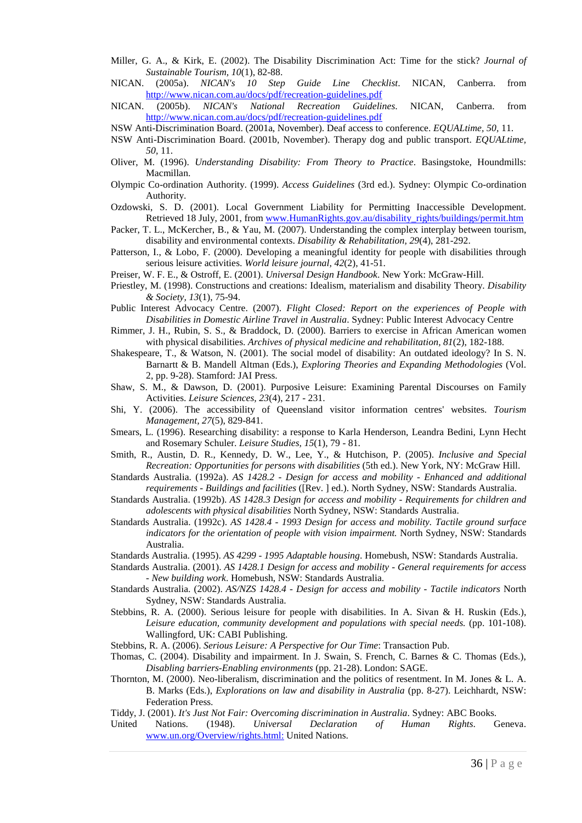- Miller, G. A., & Kirk, E. (2002). The Disability Discrimination Act: Time for the stick? *Journal of Sustainable Tourism, 10*(1), 82-88.<br>NICAN. (2005a). *NICAN's* 10 *Ster*
- NICAN. (2005a). *NICAN's 10 Step Guide Line Checklist*. NICAN, Canberra. from <http://www.nican.com.au/docs/pdf/recreation-guidelines.pdf>
- NICAN. (2005b). *NICAN's National Recreation Guidelines*. NICAN, Canberra. from <http://www.nican.com.au/docs/pdf/recreation-guidelines.pdf>
- NSW Anti-Discrimination Board. (2001a, November). Deaf access to conference. *EQUALtime, 50,* 11.
- NSW Anti-Discrimination Board. (2001b, November). Therapy dog and public transport. *EQUALtime, 50,* 11.
- Oliver, M. (1996). *Understanding Disability: From Theory to Practice*. Basingstoke, Houndmills: Macmillan.
- Olympic Co-ordination Authority. (1999). *Access Guidelines* (3rd ed.). Sydney: Olympic Co-ordination Authority.
- Ozdowski, S. D. (2001). Local Government Liability for Permitting Inaccessible Development. Retrieved 18 July, 2001, from [www.HumanRights.gov.au/disability\\_rights/buildings/permit.htm](http://www.humanrights.gov.au/disability_rights/buildings/permit.htm)
- Packer, T. L., McKercher, B., & Yau, M. (2007). Understanding the complex interplay between tourism, disability and environmental contexts. *Disability & Rehabilitation, 29*(4), 281-292.
- Patterson, I., & Lobo, F. (2000). Developing a meaningful identity for people with disabilities through serious leisure activities. *World leisure journal, 42*(2), 41-51.
- Preiser, W. F. E., & Ostroff, E. (2001). *Universal Design Handbook*. New York: McGraw-Hill.
- Priestley, M. (1998). Constructions and creations: Idealism, materialism and disability Theory. *Disability & Society, 13*(1), 75-94.
- Public Interest Advocacy Centre. (2007). *Flight Closed: Report on the experiences of People with Disabilities in Domestic Airline Travel in Australia*. Sydney: Public Interest Advocacy Centre
- Rimmer, J. H., Rubin, S. S., & Braddock, D. (2000). Barriers to exercise in African American women with physical disabilities. *Archives of physical medicine and rehabilitation, 81*(2), 182-188.
- Shakespeare, T., & Watson, N. (2001). The social model of disability: An outdated ideology? In S. N. Barnartt & B. Mandell Altman (Eds.), *Exploring Theories and Expanding Methodologies* (Vol. 2, pp. 9-28). Stamford: JAI Press.
- Shaw, S. M., & Dawson, D. (2001). Purposive Leisure: Examining Parental Discourses on Family Activities. *Leisure Sciences, 23*(4), 217 - 231.
- Shi, Y. (2006). The accessibility of Queensland visitor information centres' websites. *Tourism Management, 27*(5), 829-841.
- Smears, L. (1996). Researching disability: a response to Karla Henderson, Leandra Bedini, Lynn Hecht and Rosemary Schuler. *Leisure Studies, 15*(1), 79 - 81.
- Smith, R., Austin, D. R., Kennedy, D. W., Lee, Y., & Hutchison, P. (2005). *Inclusive and Special Recreation: Opportunities for persons with disabilities* (5th ed.). New York, NY: McGraw Hill.
- Standards Australia. (1992a). *AS 1428.2 - Design for access and mobility - Enhanced and additional requirements - Buildings and facilities* ([Rev. ] ed.). North Sydney, NSW: Standards Australia.
- Standards Australia. (1992b). *AS 1428.3 Design for access and mobility - Requirements for children and adolescents with physical disabilities* North Sydney, NSW: Standards Australia.
- Standards Australia. (1992c). *AS 1428.4 - 1993 Design for access and mobility. Tactile ground surface indicators for the orientation of people with vision impairment.* North Sydney, NSW: Standards Australia.
- Standards Australia. (1995). *AS 4299 - 1995 Adaptable housing*. Homebush, NSW: Standards Australia.
- Standards Australia. (2001). *AS 1428.1 Design for access and mobility - General requirements for access - New building work*. Homebush, NSW: Standards Australia.
- Standards Australia. (2002). *AS/NZS 1428.4 - Design for access and mobility - Tactile indicators* North Sydney, NSW: Standards Australia.
- Stebbins, R. A. (2000). Serious leisure for people with disabilities. In A. Sivan & H. Ruskin (Eds.), *Leisure education, community development and populations with special needs.* (pp. 101-108). Wallingford, UK: CABI Publishing.
- Stebbins, R. A. (2006). *Serious Leisure: A Perspective for Our Time*: Transaction Pub.
- Thomas, C. (2004). Disability and impairment. In J. Swain, S. French, C. Barnes & C. Thomas (Eds.), *Disabling barriers-Enabling environments* (pp. 21-28). London: SAGE.
- Thornton, M. (2000). Neo-liberalism, discrimination and the politics of resentment. In M. Jones & L. A. B. Marks (Eds.), *Explorations on law and disability in Australia* (pp. 8-27). Leichhardt, NSW: Federation Press.
- Tiddy, J. (2001). *It's Just Not Fair: Overcoming discrimination in Australia*. Sydney: ABC Books.
- United Nations. (1948). *Universal Declaration of Human Rights*. Geneva. [www.un.org/Overview/rights.html:](http://www.un.org/Overview/rights.html:) United Nations.